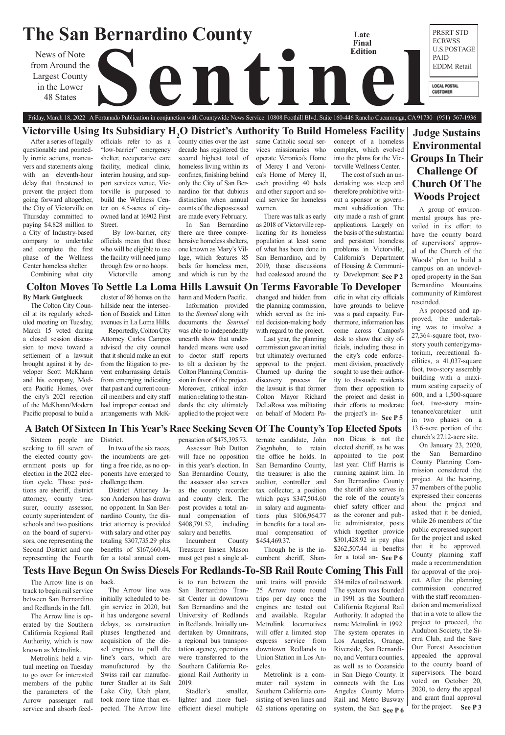### **The San Bernardino County** PRSRT STD **Late ECRWSS Final**  U.S.POSTAGE **Edition** News of Note<br>rom Around the<br>in the Lower<br>48 States PAID from Around the EDDM Retail Largest County **LOCAL POSTAL** in the Lower **CUSTOMER** 48 States

# Friday, March 18, 2022 A Fortunado Publication in conjunction with Countywide News Service 10808 Foothill Blvd. Suite 160-446 Rancho Cucamonga, CA 91730 (951) 567-1936

**Judge Sustains Environmental Groups In Their Challenge Of Church Of The Woods Project**

# **A Batch Of Sixteen In This Year's Race Seeking Seven Of The County's Top Elected Spots**

# **Colton Moves To Settle La Loma Hills Lawsuit On Terms Favorable To Developer**

# **Tests Have Begun On Swiss Diesels For Redlands-To-SB Rail Route Coming This Fall**

After a series of legally questionable and pointedly ironic actions, maneuvers and statements along with an eleventh-hour delay that threatened to prevent the project from going forward altogether, the City of Victorville on Thursday committed to paying \$4.828 million to a City of Industry-based company to undertake and complete the first phase of the Wellness Center homeless shelter.

### Victorville Using Its Subsidiary **H<sub>2</sub>O District's Authority To Build Homeless Facility** county cities over the last same Catholic social ser-

Combining what city

officials refer to as a "low-barrier" emergency shelter, recuperative care facility, medical clinic, interim housing, and support services venue, Victorville is purposed to build the Wellness Center on 4.5-acres of cityowned land at 16902 First Street.

 By low-barrier, city officials mean that those who will be eligible to use the facility will need jump through few or no hoops.

**See P 2** ty Development

Victorville among

decade has registered the second highest total of homeless living within its confines, finishing behind only the City of San Bernardino for that dubious

distinction when annual counts of the dispossessed are made every February. In San Bernardino there are three comprehensive homeless shelters, one known as Mary's Village, which features 85

> beds for homeless men, and which is run by the

vices missionaries who operate Veronica's Home of Mercy I and Veronica's Home of Mercy II, each providing 40 beds and other support and social service for homeless

women.

**See P 3** for the project. On January 23, 2020, the San Bernardino County Planning Commission considered the project. At the hearing, 37 members of the public expressed their concerns about the project and asked that it be denied, while 26 members of the public expressed support for the project and asked that it be approved. County planning staff made a recommendation for approval of the project. After the planning commission concurred with the staff recommendation and memorialized that in a vote to allow the project to proceed, the Audubon Society, the Sierra Club, and the Save Our Forest Association appealed the approval to the county board of supervisors. The board voted on October 20, 2020, to deny the appeal and grant final approval

There was talk as early as 2018 of Victorville replicating for its homeless population at least some of what has been done in San Bernardino, and by 2019, those discussions had coalesced around the concept of a homeless complex, which evolved into the plans for the Victorville Wellness Center. The cost of such an undertaking was steep and therefore prohibitive without a sponsor or government subsidization. The city made a rash of grant applications. Largely on the basis of the substantial and persistent homeless problems in Victorville, California's Department of Housing & Communi-

A group of environmental groups has prevailed in its effort to have the county board of supervisors' approval of the Church of the Woods' plan to build a campus on an undeveloped property in the San Bernardino Mountains community of Rimforest rescinded.

the project's in-<br>See P 5 cific in what city officials have grounds to believe was a paid capacity. Furthermore, information has come across Campos's desk to show that city officials, including those in the city's code enforcement division, proactively sought to use their authority to dissuade residents from their opposition to the project and desist in their efforts to moderate

As proposed and approved, the undertaking was to involve a 27,364-square foot, twostory youth center/gymatorium, recreational facilities, a 41,037-square foot, two-story assembly building with a maximum seating capacity of 600, and a 1,500-square foot, two-story maintenance/caretaker unit in two phases on a 13.6-acre portion of the church's 27.12-acre site.

**See P 6** for a total annon Dicus is not the elected sheriff, as he was appointed to the post last year. Cliff Harris is running against him. In San Bernardino County the sheriff also serves in the role of the county's chief safety officer and as the coroner and public administrator, posts which together provide \$301,428.92 in pay plus \$262,507.44 in benefits

**By Mark Gutglueck** The Colton City Council at its regularly scheduled meeting on Tuesday, March 15 voted during a closed session discussion to move toward a settlement of a lawsuit brought against it by developer Scott McKhann and his company, Modern Pacific Homes, over the city's 2021 rejection of the McKhann/Modern Pacific proposal to build a

cluster of 86 homes on the hillside near the intersection of Bostick and Litton avenues in La Loma Hills.

Reportedly, Colton City Attorney Carlos Campos advised the city council that it should make an exit from the litigation to prevent embarrassing details from emerging indicating that past and current council members and city staff had improper contact and arrangements with McK-

> system, the San See P 6 534 miles of rail network. The system was founded in 1991 as the Southern California Regional Rail Authority. It adopted the name Metrolink in 1992. The system operates in Los Angeles, Orange, Riverside, San Bernardino, and Ventura counties, as well as to Oceanside in San Diego County. It connects with the Los Angeles County Metro Rail and Metro Busway

hann and Modern Pacific.

Information provided to the *Sentinel* along with documents the *Sentinel* was able to independently unearth show that underhanded means were used to doctor staff reports to tilt a decision by the Colton Planning Commission in favor of the project. Moreover, critical information relating to the standards the city ultimately applied to the project were

changed and hidden from the planning commission, which served as the initial decision-making body with regard to the project.

Last year, the planning commission gave an initial but ultimately overturned approval to the project. Churned up during the discovery process for the lawsuit is that former Colton Mayor Richard DeLaRosa was militating on behalf of Modern Pa-

Sixteen people are seeking to fill seven of the elected county government posts up for election in the 2022 election cycle. Those positions are sheriff, district attorney, county treasurer, county assessor, county superintendent of

schools and two positions on the board of supervisors, one representing the

Second District and one representing the Fourth District.

In two of the six races, the incumbents are getting a free ride, as no opponents have emerged to challenge them.

District Attorney Jason Anderson has drawn no opponent. In San Bernardino County, the district attorney is provided with salary and other pay totaling \$307,735.29 plus benefits of \$167,660.44, for a total annual compensation of \$475,395.73.

Assessor Bob Dutton will face no opposition in this year's election. In San Bernardino County, the assessor also serves as the county recorder and county clerk. The post provides a total annual compensation of \$408,791.52, including salary and benefits. Incumbent County

Treasurer Ensen Mason must get past a single alternate candidate, John Ziegnhohn, to retain the office he holds. In San Bernardino County, the treasurer is also the auditor, controller and tax collector, a position which pays \$347,504.60 in salary and augmentations plus \$106,964.77 in benefits for a total annual compensation of \$454,469.37.

Though he is the incumbent sheriff, Shan-

The Arrow line is on track to begin rail service between San Bernardino and Redlands in the fall.

The Arrow line is operated by the Southern California Regional Rail Authority, which is now known as Metrolink.

Metrolink held a virtual meeting on Tuesday to go over for interested members of the public the parameters of the Arrow passenger rail service and absorb feedback. The Arrow line was initially scheduled to begin service in 2020, but it has undergone several delays, as construction phases lengthened and acquisition of the diesel engines to pull the line's cars, which are manufactured by the Swiss rail car manufacturer Stadler at its Salt Lake City, Utah plant, took more time than expected. The Arrow line

is to run between the San Bernardino Transit Center in downtown San Bernardino and the University of Redlands in Redlands. Initially undertaken by Omnitrans, a regional bus transportation agency, operations were transferred to the Southern California Regional Rail Authority in 2019. Stadler's smaller,

lighter and more fuelefficient diesel multiple unit trains will provide 25 Arrow route round trips per day once the engines are tested out and available. Regular Metrolink locomotives will offer a limited stop express service from downtown Redlands to Union Station in Los Angeles. Metrolink is a commuter rail system in Southern California consisting of seven lines and 62 stations operating on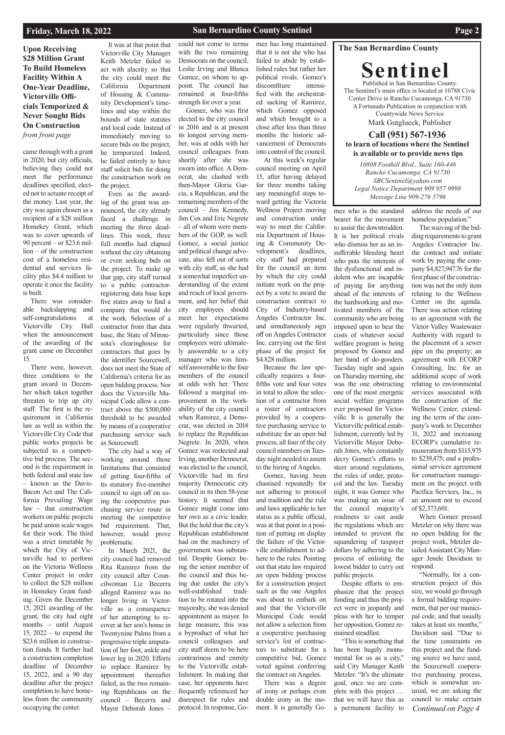## **The San Bernardino County**

**Sentinel** Published in San Bernardino County. The Sentinel's main office is located at 10788 Civic Center Drive in Rancho Cucamonga, CA 91730 A Fortunado Publication in conjunction with Countywide News Service Mark Gutglueck, Publisher

**Call (951) 567-1936 to learn of locations where the Sentinel is available or to provide news tips** 

**Upon Receiving \$28 Million Grant To Build Homeless Facility Within A One-Year Deadline, Victorville Officials Temporized & Never Sought Bids On Construction**  *from front page*

> *10808 Foothill Blvd., Suite 160-446 Rancho Cucamonga, CA 91730 SBCSentinel@yahoo.com Legal Notice Department 909 957 9998 Message Line 909-276 5796*

## **Friday, March 18, 2022**

## **San Bernardino County Sentinel <b>Page 2 Page 2**

came through with a grant in 2020, but city officials, believing they could not meet the performance deadlines specified, elected not to actuate receipt of the money. Last year, the city was again chosen as a recipient of a \$28 million Homekey Grant, which was to cover upwards of 90 percent – or \$23.6 million – of the construction cost of a homeless residential and services facility plus \$4.4 million to operate it once the facility is built.

There was considerable backslapping and self-congratulations at Victorville City Hall when the announcement of the awarding of the grant came on December 15.

There were, however, three conditions to the grant award in December which taken together threaten to trip up city staff. The first is the requirement in California law as well as within the Victorville City Code that public works projects be subjected to a competitive bid process. The second is the requirement in both federal and state law – known as the Davis-Bacon Act and The California Prevailing Wage law – that construction workers on public projects be paid union scale wages for their work. The third was a strict timetable by which the City of Victorville had to perform on the Victoria Wellness Center project in order to collect the \$28 million in Homekey Grant funding. Given the December 15, 2021 awarding of the grant, the city had eight months – until August 15,  $2022 -$  to expend the \$23.6 million in construction funds. It further had a construction completion deadline of December 15, 2022, and a 90 day deadline after the project completion to have homeless from the community occupying the center.

It was at that point that Victorville City Manager Keith Metzler failed to act with alacrity so that the city could meet the California Department of Housing & Community Development's timelines and stay within the bounds of state statutes and local code. Instead of immediately moving to secure bids on the project, he temporized. Indeed, he failed entirely to have staff solicit bids for doing the construction work on

the project. Even as the awarding of the grant was announced, the city already faced a challenge in meeting the three deadlines. This week, three full months had elapsed without the city obtaining or even seeking bids on the project. To make up that gap, city staff turned to a public contractorregistering data base kept five states away to find a company that would do the work. Selection of a contractor from that data base, the State of Minnesota's clearinghouse for contractors that goes by the identifier Sourcewell, does not meet the State of California's criteria for an open bidding process. Nor does the Victorville Municipal Code allow a contract above the \$500,000 threshold to be awarded by means of a cooperative purchasing service such as Sourcewell.

The city had a way of working around those limitations that consisted of getting four-fifths of its statutory five-member council to sign off on using the cooperative purchasing service route in meeting the competitive bid requirement. That, however, would prove problematic.

In March 2021, the city council had removed Rita Ramirez from the city council after Councilwoman Liz Becerra alleged Ramirez was no longer living in Victorville as a consequence of her attempting to recover at her son's home in Twentynine Palms from a progressive triple amputation of her foot, ankle and lower leg in 2020. Efforts to replace Ramirez by appointment thereafter failed, as the two remaining Republicans on the council – Becerra and Mayor Deborah Jones –

could not come to terms with the two remaining Democrats on the council, Leslie Irving and Blanca Gomez, on whom to appoint. The council has remained at four-fifths strength for over a year.

Gomez, who was first elected to the city council in 2016 and is at present its longest serving member, was at odds with her council colleagues from shortly after she was sworn into office. A Democrat, she clashed with then-Mayor Gloria Garcia, a Republican, and the remaining members of the council – Jim Kennedy, Jim Cox and Eric Negrete – all of whom were members of the GOP, as well. Gomez, a social justice and political change advocate, also fell out of sorts with city staff, as she had a somewhat imperfect understanding of the extent and reach of local government, and her belief that city employees should meet her expectations were regularly thwarted, particularly since those employees were ultimately answerable to a city manager who was himself answerable to the four members of the council at odds with her. There followed a marginal improvement in the workability of the city council when Ramirez, a Democrat, was elected in 2018 to replace the Republican Negrete. In 2020, when Gomez was reelected and Irving, another Democrat, was elected to the council, Victorville had its first majority Democratic city council in its then 58-year history. It seemed that Gomez might come into her own as a civic leader. But the hold that the city's Republican establishment had on the machinery of government was substantial. Despite Gomez being the senior member of the council and thus being due under the city's well-established tradition to be rotated into the mayoralty, she was denied appointment as mayor. In large measure, this was a byproduct of what her council colleagues and city staff deem to be here contrariness and enmity to the Victorville establishment. In making that case, her opponents have frequently referenced her disrespect for rules and protocol. In response, Go-

*Continued on Page 4* struction project of this size, we would go through a formal bidding requirement, that per our municipal code, and that usually takes at least six months," Davidson said. "Due to the time constraints on this project and the funding source we have used, the Sourcewell cooperative purchasing process, which is somewhat unusual, we are asking the council to make certain

mez has long maintained that it is not she who has failed to abide by established rules but rather her political rivals. Gomez's discomfiture intensified with the orchestrated sacking of Ramirez, which Gomez opposed and which brought to a close after less than three months the historic advancement of Democrats into control of the council.

At this week's regular council meeting on April 15, after having delayed for three months taking any meaningful steps toward getting the Victoria Wellness Project moving and construction under way to meet the California Department of Housing & Community Development's deadlines, city staff had prepared for the council an item by which the city could initiate work on the project by a vote to award the construction contract to City of Industry-based Angeles Contractor Inc. and simultaneously sign off on Angeles Contractor Inc. carrying out the first phase of the project for \$4.828 million.

Because the law specifically requires a fourfifths vote and four votes in total to allow the selection of a contractor from a roster of contractors provided by a cooperative purchasing service to substitute for an open bid process, all four of the city council members on Tuesday night needed to assent to the hiring of Angeles.

Gomez, having been chastised repeatedly for not adhering to protocol and tradition and the rule and laws applicable to her status as a public official, was at that point in a position of putting on display the failure of the Victorville establishment to adhere to the rules. Pointing out that state law required an open bidding process for a construction project such as the one Angeles was about to embark on and that the Victorville Municipal Code would not allow a selection from a cooperative purchasing service's list of contractors to substitute for a competitive bid, Gomez voted against conferring the contract on Angeles. There was a degree of irony or perhaps even double irony in the moment. It is generally Gomez who is the standard

bearer for the movement to assist the downtrodden. It is her political rivals who dismiss her as an insufferable bleeding heart who puts the interests of the dysfunctional and indolent who are incapable of paying for anything ahead of the interests of the hardworking and motivated members of the community who are being imposed upon to bear the costs of whatever social welfare program is being proposed by Gomez and her band of do-gooders. Tuesday night and again on Thursday morning, she was the one obstructing one of the most energetic social welfare programs ever proposed for Victorville. It is generally the Victorville political establishment, currently led by Victorville Mayor Deborah Jones, who constantly decry Gomez's efforts to steer around regulations, the rules of order, protocol and the law. Tuesday night, it was Gomez who was making an issue of the council majority's readiness to cast aside the regulations which are intended to prevent the squandering of taxpayer dollars by adhering to the process of enlisting the lowest bidder to carry out public projects.

Despite efforts to emphasize that the project funding and thus the project were in jeopardy and pleas with her to temper her opposition, Gomez remained steadfast.

"This is something that has been hugely monumental for us as a city," said City Manager Keith Metzler. "It's the ultimate goal, once we are complete with this project … that we will have this as a permanent facility to

address the needs of our homeless population."

The waiving of the bidding requirements to grant Angeles Contractor Inc. the contract and initiate work by paying the company \$4,827,947.76 for the first phase of the construction was not the only item relating to the Wellness Center on the agenda. There was action relating to an agreement with the Victor Valley Wastewater Authority with regard to the placement of a sewer pipe on the property; an agreement with ECORP Consulting, Inc. for an additional scope of work relating to environmental services associated with the construction of the Wellness Center, extending the term of the company's work to December 31, 2022 and increasing ECORP's cumulative remuneration from \$115,975 to \$239,475; and a professional services agreement for construction management on the project with Pacifica Services, Inc., in an amount not to exceed of \$2,373,601.

When Gomez pressed Metzler on why there was no open bidding for the project work, Metzler detailed Assistant City Manager Jenele Davidson to respond.

"Normally, for a con-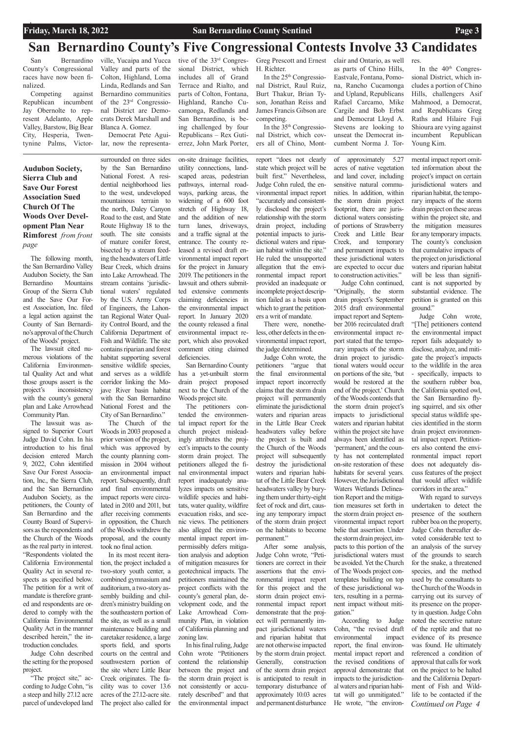# **San Bernardino County's Five Congressional Contests Involve 33 Candidates**

**Audubon Society, Sierra Club and Save Our Forest Association Sued Church Of The Woods Over Development Plan Near Rimforest** *from front page*

The following month, the San Bernardino Valley Audubon Society, the San Bernardino Mountains Group of the Sierra Club and the Save Our Forest Association, Inc. filed a legal action against the County of San Bernardino's approval of the Church of the Woods' project.

The lawsuit cited numerous violations of the California Environmental Quality Act and what those groups assert is the project's inconsistency with the county's general plan and Lake Arrowhead Community Plan.

"The project site," according to Judge Cohn, "is a steep and hilly 27.12 acre parcel of undeveloped land

The lawsuit was assigned to Superior Court Judge David Cohn. In his introduction to his final decision entered March 9, 2022, Cohn identified Save Our Forest Association, lnc., the Sierra Club, and the San Bernardino Audubon Society, as the petitioners, the County of San Bernardino and the County Board of Supervisors as the respondents and the Church of the Woods as the real party in interest. "Respondents violated the California Environmental Quality Act in several respects as specified below. The petition for a writ of mandate is therefore granted and respondents are ordered to comply with the California Environmental Quality Act in the manner described herein," the introduction concludes.

Judge Cohn described the setting for the proposed project.

surrounded on three sides by the San Bernardino National Forest. A residential neighborhood lies to the west, undeveloped mountainous terrain to the north, Daley Canyon Road to the east, and State Route Highway 18 to the south. The site consists of mature conifer forest, bisected by a stream feeding the headwaters of Little Bear Creek, which drains into Lake Arrowhead. The stream contains 'jurisdictional waters' regulated by the U.S. Army Corps of Engineers, the Lahontan Regional Water Quality Control Board, and the California Department of Fish and Wildlife. The site contains riparian and forest habitat supporting several sensitive wildlife species, and serves as a wildlife corridor linking the Mojave River basin habitat with the San Bernardino National Forest and the City of San Bernardino."

The Church of the Woods in 2003 proposed a prior version of the project, which was approved by the county planning commission in 2004 without an environmental impact report. Subsequently, draft and final environmental impact reports were circulated in 2010 and 2011, but after receiving comments in opposition, the Church of the Woods withdrew the proposal, and the county took no final action.

In its most recent iteration, the project included a two-story youth center, a combined gymnasium and auditorium, a two-story assembly building and children's ministry building on the southeastern portion of the site, as well as a small maintenance building and caretaker residence, a large sports field, and sports courts on the central and southwestern portion of the site where Little Bear Creek originates. The facility was to cover 13.6 acres of the 27.12-acre site. The project also called for

on-site drainage facilities, utility connections, landscaped areas, pedestrian pathways, internal roadways, parking areas, the widening of a 600 foot stretch of Highway 18, and the addition of new turn lanes, driveways, and a traffic signal at the entrance. The county released a revised draft environmental impact report for the project in January 2019. The petitioners in the lawsuit and others submitted extensive comments claiming deficiencies in the environmental impact report. In January 2020 the county released a final environmental impact report, which also provoked comment citing claimed

deficiencies.

San Bernardino County has a yet-unbuilt storm drain project proposed next to the Church of the

Woods project site.

The petitioners contended the environmental impact report for the church project misleadingly attributes the project's impacts to the county storm drain project. The petitioners alleged the final environmental impact report inadequately analyzes impacts on sensitive wildlife species and habitats, water quality, wildfire evacuation risks, and scenic views. The petitioners also alleged the environmental impact report impermissibly defers mitigation analysis and adoption of mitigation measures for geotechnical impacts. The

Judge Cohn wrote, "[The] petitioners contend the environmental impact report fails adequately to disclose, analyze, and mitigate the project's impacts to the wildlife in the area - specifically, impacts to the southern rubber boa, the California spotted owl, the San Bernardino flying squirrel, and six other special status wildlife species identified in the storm drain project environmental impact report. Petitioners also contend the environmental impact report does not adequately discuss features of the project that would affect wildlife corridors in the area."

petitioners maintained the project conflicts with the county's general plan, development code, and the Lake Arrowhead Community Plan, in violation of California planning and zoning law.

In his final ruling, Judge Cohn wrote "Petitioners contend the relationship between the project and the storm drain project is not consistently or accurately described" and that the environmental impact

*Continued on Page 4* With regard to surveys undertaken to detect the presence of the southern rubber boa on the property, Judge Cohn thereafter devoted considerable text to an analysis of the survey of the grounds to search for the snake, a threatened species, and the method used by the consultants to the Church of the Woods in carrying out its survey of its presence on the property in question. Judge Cohn noted the secretive nature of the reptile and that no evidence of its presence was found. He ultimately referenced a condition of approval that calls for work on the project to be halted and the California Department of Fish and Wildlife to be contacted if the

report "does not clearly state which project will be built first." Nevertheless, Judge Cohn ruled, the environmental impact report "accurately and consistently disclosed the project's relationship with the storm drain project, including potential impacts to jurisdictional waters and riparian habitat within the site." He ruled the unsupported allegation that the environmental impact report provided an inadequate or incomplete project description failed as a basis upon which to grant the petitioners a writ of mandate.

There were, nonetheless, other defects in the environmental impact report, the judge determined.

In the  $40<sup>th</sup>$  Congressional District, which includes a portion of Chino Hills, challengers Asif Mahmood, a Democrat, and Republicans Greg Raths and Hilaire Fuji Shioura are vying against incumbent Republican Young Kim.

Judge Cohn wrote, the petitioners "argue that the final environmental impact report incorrectly claims that the storm drain project will permanently eliminate the jurisdictional waters and riparian areas in the Little Bear Creek headwaters valley before the project is built and the Church of the Woods project will subsequently destroy the jurisdictional waters and riparian habitat of the Little Bear Creek headwaters valley by burying them under thirty-eight feet of rock and dirt, causing any temporary impact of the storm drain project on the habitats to become permanent."

After some analysis, Judge Cohn wrote, "Petitioners are correct in their assertions that the environmental impact report for this project and the storm drain project environmental impact report demonstrate that the project will permanently impact jurisdictional waters and riparian habitat that are not otherwise impacted by the storm drain project. Generally, construction of the storm drain project is anticipated to result in temporary disturbance of approximately 10.03 acres and permanent disturbance pacts to this portion of the jurisdictional waters must be avoided. Yet the Church of The Woods project con-

of approximately 5.27 acres of native vegetation and land cover, including sensitive natural communities. ln addition, within the storm drain project footprint, there are jurisdictional waters consisting of portions of Strawberry Creek and Little Bear Creek, and temporary and permanent impacts to these jurisdictional waters are expected to occur due to construction activities." Judge Cohn continued, "Originally, the storm drain project's September 2015 draft environmental impact report and September 2016 recirculated draft environmental impact report stated that the temporary impacts of the storm drain project to jurisdictional waters would occur on portions of the site, 'but would be restored at the end of the project.' Church of the Woods contends that the storm drain project's impacts to jurisdictional waters and riparian habitat within the project site have always been identified as 'permanent,' and the county has not contemplated on-site restoration of these habitats for several years. However, the Jurisdictional Waters Wetlands Delineation Report and the mitigation measures set forth in the storm drain project environmental impact report belie that assertion. Under the storm drain project, im-

templates building on top of these jurisdictional waters, resulting in a permanent impact without mitigation." According to Judge

Cohn, "the revised draft environmental impact report, the final environmental impact report and the revised conditions of approval demonstrate that impacts to the jurisdictional waters and riparian habitat will go unmitigated." He wrote, "the environmental impact report omitted information about the project's impact on certain jurisdictional waters and riparian habitat, the temporary impacts of the storm drain project on these areas within the project site, and the mitigation measures for any temporary impacts. The county's conclusion that cumulative impacts of the project on jurisdictional waters and riparian habitat will be less than significant is not supported by substantial evidence. The petition is granted on this ground."

San Bernardino County's Congressional races have now been finalized.

Competing against Republican incumbent Jay Obernolte to represent Adelanto, Apple Valley, Barstow, Big Bear City, Hesperia, Twentynine Palms, Victorville, Yucaipa and Yucca Valley and parts of the Colton, Highland, Loma Linda, Redlands and San Bernardino communities of the 23rd Congressional District are Democrats Derek Marshall and Blanca A. Gomez.

Democrat Pete Aguilar, now the representative of the 33rd Congressional District, which includes all of Grand Terrace and Rialto, and parts of Colton, Fontana, Highland, Rancho Cucamonga, Redlands and San Bernardino, is being challenged by four Republicans – Rex Gutierrez, John Mark Porter,

Greg Prescott and Ernest H. Richter. In the 25<sup>th</sup> Congressional District, Raul Ruiz,

Burt Thakur, Brian Tyson, Jonathan Reiss and James Francis Gibson are competing.

In the 35th Congressional District, which covers all of Chino, Montclair and Ontario, as well as parts of Chino Hills, Eastvale, Fontana, Pomona, Rancho Cucamonga and Upland, Republicans Rafael Carcamo, Mike Cargile and Bob Erbst and Democrat Lloyd A. Stevens are looking to unseat the Democrat incumbent Norma J. Torres.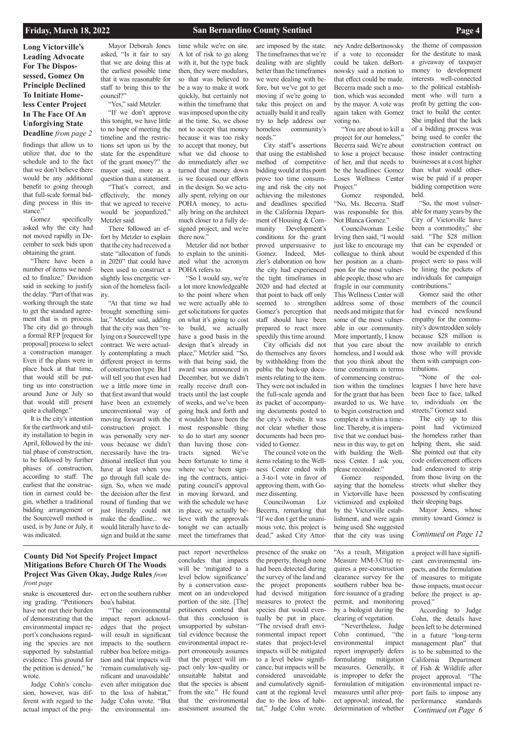*Continued on Page 12*

findings that allow us to utilize that, due to the schedule and to the fact that we don't believe there would be any additional benefit to going through that full-scale formal bidding process in this instance."

**Long Victorville's Leading Advocate For The Dispossessed, Gomez On Principle Declined To Initiate Homeless Center Project In The Face Of An Unforgiving State Deadline** *from page 2*

Gomez specifically asked why the city had not moved rapidly in December to seek bids upon obtaining the grant.

"There have been a number of items we needed to finalize," Davidson said in seeking to justify the delay. "Part of that was working through the state to get the standard agreement that is in process. The city did go through a formal RFP [request for proposal] process to select a construction manager. Even if the plans were in place back at that time, that would still be putting us into construction around June or July so that would still present quite a challenge."

It is the city's intention for the earthwork and utility installation to begin in April, followed by the initial phase of construction, to be followed by further phases of construction, according to staff. The earliest that the construction in earnest could begin, whether a traditional bidding arrangement or the Sourcewell method is used, is by June or July, it was indicated.

Mayor Deborah Jones asked, "Is it fair to say that we are doing this at the earliest possible time that it was reasonable for staff to bring this to the council?"

"Yes," said Metzler.

"If we don't approve this tonight, we have little to no hope of meeting the timeline and the restrictions set upon us by the state for the expenditure of the grant money?" the mayor said, more as a question than a statement.

"That's correct, and effectively, the money that we agreed to receive would be jeopardized," Metzler said.

There followed an effort by Metzler to explain that the city had received a state "allocation of funds in 2020" that could have been used to construct a slightly less energetic version of the homeless facility.

"At that time we had brought something similar," Metzler said, adding that the city was then "relying on a Sourcewell type contract. We were actually contemplating a much different project in terms of construction type. But I will tell you that even had we a little more time in that first award that would have been an extremely unconventional way of moving forward with the construction project. I was personally very nervous because we didn't necessarily have the traditional intellect that you have at least when you go through full scale design. So, when we made the decision after the first round of funding that we just literally could not make the deadline... we would literally have to design and build at the same

"You are about to kill a project for our homeless," Becerra said. We're about to lose a project because of her, and that needs to be the headlines: Gomez Loses Wellness Center Project."

time while we're on site. A lot of risk to go along with it, but the type back then, they were modulars, so that was believed to be a way to make it work quickly, but certainly not within the timeframe that was imposed upon the city at the time. So, we chose not to accept that money because it was too risky to accept that money, but what we did choose to do immediately after we turned that money down is we focused our efforts in the design. So we actually spent, relying on our POHA money, to actually bring on the architect much closer to a fully designed project, and we're there now."

Metzler did not bother to explain to the uninitiated what the acronym POHA refers to.

"So I would say, we're a lot more knowledgeable to the point where when we were actually able to get solicitations for quotes on what it's going to cost to build, we actually have a good basis in the design that's already in place," Metzler said. "So, with that being said, the award was announced in December, but we didn't really receive draft contracts until the last couple of weeks, and we've been going back and forth and it wouldn't have been the most responsible thing to do to start any sooner than having those contracts signed. We've been fortunate to time it where we've been signing the contracts, anticipating council's approval in moving forward, and with the schedule we have in place, we actually believe with the approvals tonight we can actually meet the timeframes that

are imposed by the state. The timeframes that we're dealing with are slightly better than the timeframes we were dealing with before, but we've got to get moving if we're going to take this project on and actually build it and really try to help address our homeless community's needs."

City staff's assertions that using the established method of competitive bidding would at this point prove too time consuming and risk the city not achieving the milestones and deadlines specified in the California Department of Housing & Community Development's conditions for the grant proved unpersuasive to Gomez. Indeed, Metzler's elaboration on how the city had experienced the tight timeframes in 2020 and had elected at that point to back off only seemed to strengthen Gomez's perception that staff should have been prepared to react more speedily this time around. City officials did not

do themselves any favors by withholding from the public the back-up documents relating to the item. They were not included in the full-scale agenda and its packet of accompanying documents posted to the city's website. It was not clear whether those documents had been provided to Gomez.

The council vote on the items relating to the Wellness Center ended with a 3-to-1 vote in favor of approving them, with Gomez dissenting.

Councilwoman Liz Becerra, remarking that "If we don t get the unanimous vote, this project is dead," asked City Attorney Andre deBortnowsky if a vote to reconsider could be taken. deBortnowsky said a motion to that effect could be made. Becerra made such a motion, which was seconded by the mayor. A vote was again taken with Gomez voting no.

Gomez responded, "No, Ms. Becerra. Staff was responsible for this. Not Blanca Gomez."

Councilwoman Leslie Irving then said, "I would just like to encourage my colleague to think about her position as a champion for the most vulnerable people, those who are fragile in our community This Wellness Center will address some of those needs and mitigate that for some of the most vulnerable in our community. More importantly, I know that you care about the homeless, and I would ask that you think about the time constraints in terms of commencing construction within the timelines for the grant that has been awarded to us. We have to begin construction and complete it within a timeline. Thereby, it is imperative that we conduct business in this way, to get on with building the Wellness Center. I ask you, please reconsider."

Gomez responded, saying that the homeless in Victorville have been victimized and exploited by the Victorville establishment, and were again being used. She suggested that the city was using

the theme of compassion for the destitute to mask a giveaway of taxpayer money to development interests well-connected to the political establishment who will turn a profit by getting the contract to build the center. She implied that the lack of a bidding process was being used to confer the construction contract on those insider contracting businesses at a cost higher than what would otherwise be paid if a proper bidding competition were held.

"So, the most vulnerable for many years by the City of Victorville have been a commodity," she said. "The \$28 million that can be expended or would be expended if this project were to pass will be lining the pockets of individuals for campaign contributions."

Gomez said the other members of the council had evinced newfound empathy for the community's downtrodden solely because \$28 million is now available to enrich those who will provide them with campaign contributions.

"None of the colleagues I have here have been face to face, talked to, individuals on the streets," Gomez said.

The city up to this point had victimized the homeless rather than helping them, she said. She pointed out that city code enforcement officers had endeavored to strip from those living on the streets what shelter they possessed by confiscating their sleeping bags.

Mayor Jones, whose enmity toward Gomez is

snake is encountered during grading. "Petitioners have not met their burden of demonstrating that the environmental impact report's conclusions regarding the species are not supported by substantial evidence. This ground for the petition is denied," he wrote.

Judge Cohn's conclusion, however, was different with regard to the actual impact of the proj-

ect on the southern rubber boa's habitat.

"The environmental impact report acknowledges that the project will result in significant impacts to the southern rubber boa before mitigation and that impacts will 'remain cumulatively significant and unavoidable' even after mitigation due to the loss of habitat," Judge Cohn wrote. "But the environmental im-

pact report nevertheless concludes that impacts will be 'mitigated to a level below significance' by a conservation easement on an undeveloped portion of the site. [The] petitioners contend that that this conclusion is unsupported by substantial evidence because the environmental impact report erroneously assumes that the project will impact only low-quality or unsuitable habitat and that the species is absent from the site." He found that the environmental assessment assumed the

*Continued on Page 6* According to Judge Cohn, the details have been left to be determined in a future "long-term management plan" that is to be submitted to the California Department of Fish & Wildlife after project approval. "The environmental impact report fails to impose any performance standards

presence of the snake on the property, though none had been detected during the survey of the land and the project proponents had devised mitigation measures to protect the species that would eventually be put in place. "The revised draft environmental impact report states that project-level impacts will be mitigated to a level below significance, but impacts will be considered unavoidable and cumulatively significant at the regional level due to the loss of habitat," Judge Cohn wrote. measures until after project approval; instead, the determination of whether

"As a result, Mitigation Measure MM-3.C1(a) requires a pre-construction clearance survey for the southern rubber boa before issuance of a grading permit, and monitoring by a biologist during the clearing of vegetation. "Nevertheless, Judge Cohn continued, "the environmental impact report improperly defers formulating mitigation measures. Generally, it is improper to defer the formulation of mitigation

a project will have significant environmental impacts, and the formulation

of measures to mitigate those impacts, must occur before the project is approved."

**County Did Not Specify Project Impact Mitigations Before Church Of The Woods** 

**Project Was Given Okay, Judge Rules** *from front page*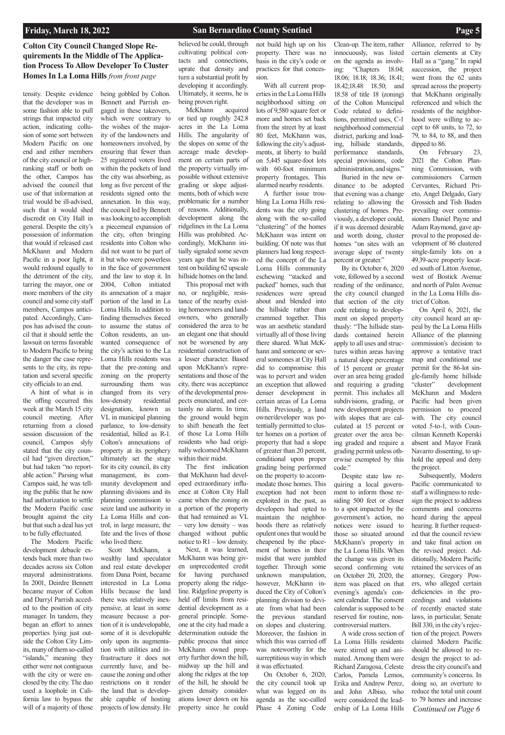## **Colton City Council Changed Slope Requirements In the Middle of The Application Process To Allow Developer To Cluster Homes In La Loma Hills** *from front page*

tensity. Despite evidence that the developer was in some fashion able to pull strings that impacted city action, indicating collusion of some sort between Modern Pacific on one end and either members of the city council or highranking staff or both on the other, Campos has advised the council that use of that information at trial would be ill-advised, such that it would shed discredit on City Hall in general. Despite the city's possession of information that would if released cast McKhann and Modern Pacific in a poor light, it would redound equally to the detriment of the city, tarring the mayor, one or more members of the city council and some city staff members, Campos anticipated. Accordingly, Campos has advised the council that it should settle the lawsuit on terms favorable to Modern Pacific to bring the danger the case represents to the city, its reputation and several specific city officials to an end.

A hint of what is in the offing occurred this week at the March 15 city council meeting. After returning from a closed session discussion of the council, Campos slyly stated that the city council had "given direction," but had taken "no reportable action." Parsing what Campos said, he was telling the public that he now had authorization to settle the Modern Pacific case brought against the city but that such a deal has yet to be fully effectuated.

The Modern Pacific development debacle extends back more than two decades across six Colton

mayoral administrations. In 2001, Deirdre Bennett became mayor of Colton and Darryl Parrish acceded to the position of city manager. In tandem, they began an effort to annex properties lying just outside the Colton City Limits, many of them so-called "islands," meaning they either were not contiguous with the city or were enclosed by the city. The duo used a loophole in California law to bypass the will of a majority of those

The first indication that McKhann had developed extraordinary influence at Colton City Hall came when the zoning on a portion of the property that had remained as VL – very low density – was changed without public notice to  $R1$  – low density.

being gobbled by Colton. Bennett and Parrish engaged in these takeovers, which were contrary to the wishes of the majority of the landowners and homeowners involved, by ensuring that fewer than 25 registered voters lived within the pockets of land the city was absorbing, as long as five percent of the residents signed onto the annexation. In this way, the council led by Bennett was looking to accomplish a piecemeal expansion of the city, often bringing residents into Colton who did not want to be part of it but who were powerless in the face of government and the law to stop it. In 2004, Colton initiated its annexation of a major portion of the land in La Loma Hills. In addition to finding themselves forced to assume the status of Colton residents, an unwanted consequence of the city's action to the La Loma Hills residents was that the pre-zoning and zoning on the property surrounding them was changed from its very low-density residential designation, known as VL in municipal planning parlance, to low-density residential, billed as R-1. Colton's annexations of property at its periphery ultimately set the stage for its city council, its city management, its community development and planning divisions and its planning commission to seize land use authority in La Loma Hills and control, in large measure, the fate and the lives of those who lived there.

> having purchased property along the ridgeline. Ridgeline property is held off limits from residential development as a general principle. Someone at the city had made a determination outside the public process that since McKhann owned property further down the hill, midway up the hill and along the ridges at the top of the hill, he should be given density considerations lower down on his property since he could

Scott McKhann, a wealthy land speculator and real estate developer from Dana Point, became interested in La Loma Hills because the land there was relatively inexpensive, at least in some measure because a portion of it is undevelopable, some of it is developable only upon its augmentation with utilities and infrastructure it does not currently have, and because the zoning and other restrictions on it render the land that is developable capable of hosting projects of low density. He

## believed he could, through cultivating political contacts and connections, uprate that density and turn a substantial profit by developing it accordingly. Ultimately, it seems, he is being proven right.

McKhann acquired or tied up roughly 242.8 acres in the La Loma Hills. The angularity of the slopes on some of the acreage made development on certain parts of the property virtually impossible without extensive grading or slope adjustments, both of which were problematic for a number of reasons. Additionally, development along the ridgelines in the La Loma Hills was prohibited. Accordingly, McKhann initially signaled some seven years ago that he was intent on building 62 upscale hillside homes on the land.

This proposal met with no, or negligible, resistance of the nearby existing homeowners and landowners, who generally considered the area to be an elegant one that should not be worsened by any residential construction of a lesser character. Based upon McKhann's representations and those of the city, there was acceptance of the developmental prospects enunciated, and certainly no alarm. In time, the ground would begin to shift beneath the feet of those La Loma Hills residents who had originally welcomed McKhann within their midst.

Next, it was learned, McKhann was being given unprecedented credit

*Continued on Page 6*  Subsequently, Modern Pacific communicated to staff a willingness to redesign the project to address comments and concerns heard during the appeal hearing. It further requested that the council review and take final action on the revised project. Additionally, Modern Pacific retained the services of an attorney, Gregory Powers, who alleged certain deficiencies in the proceedings and violations of recently enacted state laws, in particular, Senate Bill 330, in the city's rejection of the project. Powers claimed Modern Pacific should be allowed to redesign the project to address the city council's and community's concerns. In doing so, an overture to reduce the total unit count to 79 homes and increase

not build high up on his property. There was no basis in the city's code or practices for that concession.

With all current properties in the La Loma Hills neighborhood sitting on lots of 9,580 square feet or more and homes set back from the street by at least 80 feet, McKhann was, following the city's adjustments, at liberty to build on 5,445 square-foot lots with 60-foot minimum property frontages. This alarmed nearby residents.

A further issue troubling La Loma Hills residents was the city going along with the so-called "clustering" of the homes McKhann was intent on building. Of note was that planners had long respected the concept of the La Loma Hills community eschewing "stacked and packed" homes, such that residences were spread about and blended into the hillside rather than crammed together. This was an aesthetic standard virtually all of those living there shared. What McKhann and someone or several someones at City Hall did to compromise this was to pervert and widen an exception that allowed denser development in certain areas of La Loma Hills. Previously, a land owner/developer was potentially permitted to cluster homes on a portion of property that had a slope of greater than 20 percent, conditional upon proper grading being performed on the property to accommodate those homes. This exception had not been exploited in the past, as developers had opted to maintain the neighborhoods there as relatively opulent ones that would be cheapened by the placement of homes in their midst that were jumbled together. Through some unknown manipulation, however, McKhann induced the City of Colton's planning division to deviate from what had been the previous standard on slopes and clustering. Moreover, the fashion in which this was carried off was noteworthy for the surreptitious way in which it was effectuated. On October 6, 2020, the city council took up what was logged on its agenda as the soc-called Phase 4 Zoning Code

Clean-up. The item, rather innocuously, was listed on the agenda as involving: "Chapters 18.04; 18.06; 18.18; 18.36; 18.41; 18.42;18.48 18.50; and 18.58 of title 18 (zoning) of the Colton Municipal Code related to definitions, permitted uses, C-1 neighborhood commercial district, parking and loading, hillside standards, performance standards, special provisions, code administration, and signs."

Buried in the new ordinance to be adopted that evening was a change relating to allowing the clustering of homes. Previously, a developer could, if it was deemed desirable and worth doing, cluster homes "on sites with an average slope of twenty percent or greater."

By its October 6, 2020 vote, followed by a second reading of the ordinance, the city council changed that section of the city code relating to development on sloped property thusly: "The hillside standards contained herein apply to all uses and structures within areas having a natural slope percentage of 15 percent or greater over an area being graded and requiring a grading permit. This includes all subdivisions, grading, or new development projects with slopes that are calculated at 15 percent or greater over the area being graded and require a grading permit unless otherwise exempted by this code."

Despite state law requiring a local government to inform those residing 500 feet or closer to a spot impacted by the government's action, no notices were issued to those so situated around McKhann's property in the La Loma Hills. When the change was given its second confirming vote on October 20, 2020, the item was placed on that evening's agenda's consent calendar. The consent calendar is supposed to be reserved for routine, noncontroversial matters. A wide cross section of La Loma Hills residents were stirred up and animated. Among them were Richard Zaragosa, Celeste Carlos, Pamela Lemos, Erika and Andrew Perez, and John Albiso, who were considered the leadership of La Loma Hills

Alliance, referred to by certain elements at City Hall as a "gang." In rapid succession, the project went from the 62 units spread across the property that McKhann originally referenced and which the residents of the neighborhood were willing to accept to 68 units, to 72, to 79, to 84, to 88, and then dipped to 86.

On February 23, 2021 the Colton Planning Commission, with commissioners Carmen Cervantes, Richard Prieto, Angel Delgado, Gary Grossich and Tish Baden prevailing over commissioners Daniel Payne and Adam Raymond, gave approval to the proposed development of 86 clustered single-family lots on a 49.39-acre property located south of Litton Avenue, west of Bostick Avenue and north of Palm Avenue in the La Loma Hills district of Colton.

On April 6, 2021, the city council heard an appeal by the La Loma Hills Alliance of the planning commission's decision to approve a tentative tract map and conditional use permit for the 86-lot single-family home hillside "cluster" development McKhann and Modern Pacific had been given permission to proceed with. The city council voted 5-to-1, with Councilman Kenneth Koperski absent and Mayor Frank Navarro dissenting, to uphold the appeal and deny the project.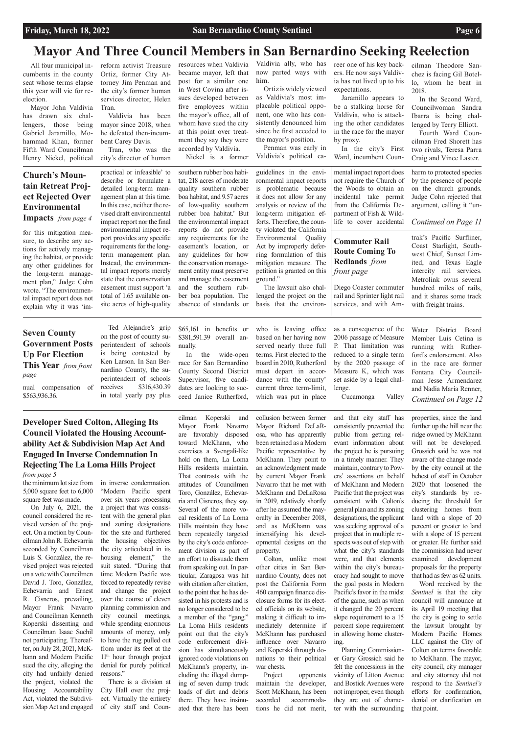## **Commuter Rail Route Coming To Redlands** *from front page*

*Continued on Page 11*

On July 6, 2021, the council considered the revised version of the project. On a motion by Councilman John R. Echevarria seconded by Councilman Luis S. González, the revised project was rejected on a vote with Councilmen

David J. Toro, González, Echevarria and Ernest R. Cisneros, prevailing, Mayor Frank Navarro and Councilman Kenneth Koperski dissenting and Councilman Isaac Suchil not participating. Thereafter, on July 28, 2021, McKhann and Modern Pacific sued the city, alleging the city had unfairly denied the project, violated the Housing Accountability Act, violated the Subdivision Map Act and engaged

in inverse condemnation. "Modern Pacific spent over six years processing a project that was consistent with the general plan and zoning designations for the site and furthered the housing objectives the city articulated in its housing element," the suit stated. "During that time Modern Pacific was forced to repeatedly revise and change the project over the course of eleven planning commission and city council meetings, while spending enormous amounts of money, only to have the rug pulled out from under its feet at the 11th hour through project denial for purely political reasons." There is a division at City Hall over the project. Virtually the entirety of city staff and Councilman Koperski and Mayor Frank Navarro are favorably disposed toward McKhann, who exercises a Svengali-like hold on them, La Loma Hills residents maintain. That contrasts with the attitudes of Councilmen Toro, González, Echevarria and Cisneros, they say. Several of the more vocal residents of La Loma Hills maintain they have been repeatedly targeted by the city's code enforcement division as part of an effort to dissuade them from speaking out. In particular, Zaragosa was hit with citation after citation, to the point that he has desisted in his protests and is no longer considered to be a member of the "gang." La Loma Hills residents point out that the city's code enforcement division has simultaneously ignored code violations on McKhann's property, including the illegal dumping of seven dump truck loads of dirt and debris there. They have insinuated that there has been Scott McKhann, has been accorded accommodations he did not merit,

collusion between former Mayor Richard DeLaRosa, who has apparently been retained as a Modern Pacific representative by McKhann. They point to an acknowledgment made by current Mayor Frank Navarro that he met with McKhann and DeLaRosa in 2019, relatively shortly after he assumed the mayoralty in December 2018, and as McKhann was intensifying his developmental designs on the property.

the minimum lot size from 5,000 square feet to 6,000 square feet was made. *from page 5*

> Colton, unlike most other cities in San Bernardino County, does not post the California Form 460 campaign finance disclosure forms for its elected officials on its website, making it difficult to immediately determine if McKhann has purchased influence over Navarro and Koperski through donations to their political war chests. Project opponents maintain the developer,

*Continued on Page 12* Water District Board Member Luis Cetina is running with Rutherford's endorsement. Also in the race are former Fontana City Councilman Jesse Armendarez and Nadia Maria Renner,

and that city staff has consistently prevented the public from getting rel-

evant information about the project he is pursuing in a timely manner. They maintain, contrary to Powers' assertions on behalf of McKhann and Modern Pacific that the project was consistent with Colton's general plan and its zoning designations, the applicant was seeking approval of a project that in multiple respects was out of step with what the city's standards were, and that elements within the city's bureau-

cracy had sought to move the goal posts in Modern Pacific's favor in the midst of the game, such as when it changed the 20 percent slope requirement to a 15 percent slope requirement in allowing home clustering. Planning Commissioner Gary Grossich said he

felt the concessions in the vicinity of Litton Avenue and Bostick Avenues were not improper, even though they are out of character with the surrounding

properties, since the land further up the hill near the ridge owned by McKhann will not be developed. Grossich said he was not aware of the change made by the city council at the behest of staff in October 2020 that loosened the city's standards by reducing the threshold for clustering homes from land with a slope of 20 percent or greater to land with a slope of 15 percent or greater. He further said the commission had never examined development proposals for the property that had as few as 62 units. Word received by the *Sentinel* is that the city council will announce at its April 19 meeting that the city is going to settle the lawsuit brought by Modern Pacific Homes LLC against the City of Colton on terms favorable to McKhann. The mayor, city council, city manager and city attorney did not respond to the *Sentinel's*  efforts for confirmation, denial or clarification on that point.

# **Developer Sued Colton, Alleging Its Council Violated the Housing Accountability Act & Subdivision Map Act And Engaged In Inverse Condemnation In Rejecting The La Loma Hills Project**

nual compensation of

\$563,936.36.

Ted Alejandre's grip on the post of county superintendent of schools is being contested by Ken Larson. In San Bernardino County, the superintendent of schools receives \$316,430.39 in total yearly pay plus

\$65,161 in benefits or \$381,591.39 overall annually.

In the wide-open race for San Bernardino County Second District Supervisor, five candidates are looking to succeed Janice Rutherford,

who is leaving office based on her having now served nearly three full terms. First elected to the board in 2010, Rutherford must depart in accordance with the county' current three term-limit, which was put in place

as a consequence of the 2006 passage of Measure P. That limitation was reduced to a single term by the 2020 passage of Measure K, which was

set aside by a legal challenge.

Cucamonga Valley

**Seven County** 

**Government Posts Up For Election This Year** *from front* 

*page* 

All four municipal incumbents in the county seat whose terms elapse this year will vie for reelection.

Mayor John Valdivia has drawn six challengers, those being Gabriel Jaramillo, Mohammad Khan, former Fifth Ward Councilman Henry Nickel, political

reform activist Treasure Ortiz, former City Attorney Jim Penman and the city's former human services director, Helen Tran.

Valdivia has been mayor since 2018, when he defeated then-incumbent Carey Davis.

Tran, who was the city's director of human

resources when Valdivia became mayor, left that post for a similar one in West Covina after issues developed between five employees within the mayor's office, all of whom have sued the city at this point over treatment they say they were accorded by Valdivia.

Nickel is a former

Valdivia ally, who has now parted ways with him.

Ortiz is widely viewed as Valdivia's most implacable political opponent, one who has consistently denounced him since he first acceded to the mayor's position.

Penman was early in Valdivia's political career one of his key backers. He now says Valdivia has not lived up to his expectations.

Jaramillo appears to be a stalking horse for Valdivia, who is attacking the other candidates in the race for the mayor by proxy.

In the city's First Ward, incumbent Councilman Theodore Sanchez is facing Gil Botello, whom he beat in 2018.

In the Second Ward, Councilwoman Sandra Ibarra is being challenged by Terry Elliott.

Fourth Ward Councilman Fred Shorett has two rivals, Teresa Parra Craig and Vince Laster.

Diego Coaster commuter rail and Sprinter light rail services, and with Am-

# **Mayor And Three Council Members in San Bernardino Seeking Reelection**

for this mitigation measure, to describe any actions for actively managing the habitat, or provide any other guidelines for the long-term management plan," Judge Cohn wrote. "The environmental impact report does not explain why it was 'impractical or infeasible' to describe or formulate a detailed long-term management plan at this time. ln this case, neither the revised draft environmental impact report nor the final environmental impact report provides any specific requirements for the longterm management plan. lnstead, the environmental impact reports merely state that the conservation easement must support 'a total of 1.65 available onsite acres of high-quality

southern rubber boa habitat, 218 acres of moderate quality southern rubber boa habitat, and 9.57 acres of low-quality southern rubber boa habitat.' But the environmental impact reports do not provide any requirements for the easement's location, or any guidelines for how the conservation management entity must preserve and manage the easement and the southern rubber boa population. The absence of standards or

guidelines in the environmental impact reports is problematic because it does not allow for any analysis or review of the long-term mitigation efforts. Therefore, the county violated the California Environmental Quality Act by improperly deferring formulation of this mitigation measure. The petition is granted on this ground."

The lawsuit also challenged the project on the basis that the environ-

mental impact report does not require the Church of the Woods to obtain an incidental take permit from the California Department of Fish & Wildlife to cover accidental

harm to protected species by the presence of people on the church grounds. Judge Cohn rejected that argument, calling it "un-

trak's Pacific Surfliner, Coast Starlight, Southwest Chief, Sunset Limited, and Texas Eagle intercity rail services. Metrolink owns several hundred miles of rails, and it shares some track with freight trains.

**Church's Mountain Retreat Project Rejected Over Environmental** 

**Impacts** *from page 4*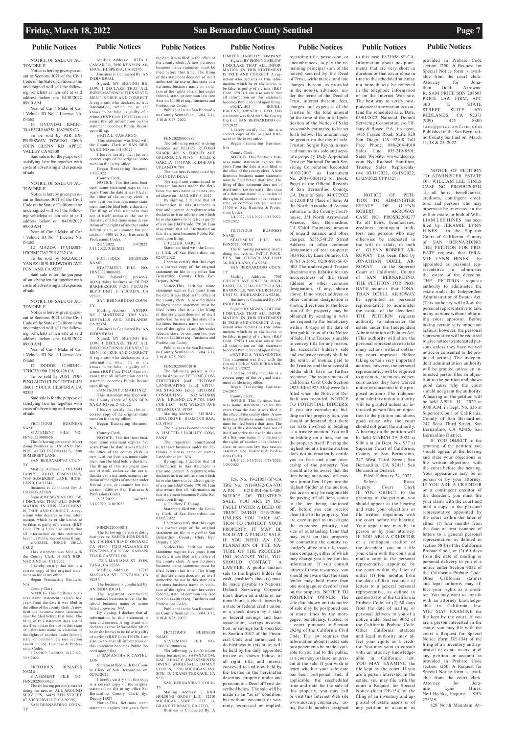## **Public Notices Public Notices Public Notices Public Notices Public Notices Public Notices Public Notices**

NOTICE OF SALE OF AU-TOMOBILE Notice is hereby given pursu-

ant to Sections 3071 of the Civil Code of the State of California the undersigned will sell the following vehicle(s) at lien sale at said address below on: 04/01/2022 09:00 AM

Year of Car / Make of Car / Vehicle ID No. / License No. (State)

16 HYUNDAI KMHC-T4AE5GU166258 166258X CA To be sold by AIR EX-

PRESSWAY TOWING 13606 JOHN GLENN RD APPLE VALLEY CA 92308 Said sale is for the purpose of

satisfying lien for together with costs of advertising and expenses of sale.

NOTICE OF SALE OF AU-TOMOBILE

Notice is hereby given pursuant to Sections 3071 of the Civil Code of the State of California the undersigned will sell the following vehicle(s) at lien sale at said address below on: 04/08/2022 09:00 AM

STATEMENT FILE NO-FBN20220000656

Year of Car / Make of Car / Vehicle ID No. / License No. (State)

12 MAZDA 1YVHZ8D-H7C5M27362 7SHZ232 CA To be sold by NAZARIO

Signed: BY SIGNING BELOW, I DECLARE THAT ALL INFOR-MATION IN THIS STATEMENT IS TRUE AND CORRECT. A registrant who declares as true information, which he or she knows to be false, is guilty of a crime. (B&P Code 17913) I am also aware that all information on this statement becomes Public Record upon filing. s/NORIEL JORGE DELA **CRUZ** 

YANEZ 10191 REDWOOD AVE FONTANA CA 92335 Said sale is for the purpose

of satisfying ien for together with costs of advertising and expenses of sale.

NOTICE OF SALE OF AU-TOMOBILE

Notice is hereby given pursuant to Sections 3071 of the Civil Code of the State of California the undersigned will sell the following vehicle(s) at lien sale at said address below on: 04/01/2022 09:00 AM

Year of Car / Make of Car / Vehicle ID No. / License No. (State)

17 DODGE 1C4SDHC-T7HC720990 LNX0426 CA

To be sold by JUST POP-PING AUTO CLINC DETAILIN 16601 YUCCA HESPERIA CA 92345

Said sale is for the purpose of satisfying lien for together with costs of advertising and expenses of sale.

FICTITIOUS BUSINESS NAME

The following person(s) is(are) doing business as: INLAND EM-PIRE AUTO ESSENTIALS, 7808 SOMERSET LANE,

Signed: BY SIGNING BE-<br>LOW, I DECLARE THAT ALL I DECLARE THAT ALL INFORMATION IN THIS STATE-MENT IS TRUE AND CORRECT. A registrant who declares as true information, which he or knows to be false, is guilty of a crime. (B&P Code 17913) I am also aware that all information on this statement becomes Public Record

SAN BERNARDINO COUN-TY

Mailing Address: , INLAND EMPIRE AUTO ESSENTIALS, 7808 SOMERSET LANE, HIGH-LAND, CA 92346,

Business is Conducted By: A CORPORATION

This statement was filed with the County Clerk of SAN BER-NARDINO on: 1/31/2022

I hereby certify that this is a correct copy of the original state-

Began Transacting Business: N/A

statement becomes Public Record upon filing. s/ANTHONY J. MARTINEZ This statement was filed with County Clerk of SAN BER-NARDINO on: 2/1/2022

### County Clerk,

NOTICE- This fictitious business name statement expires five years from the date it was filed in the office of the county clerk. A new fictitious business name statement must be filed before that time. The filing of this statement does not of itself authorize the use in this state of a fictitious name in violation of the rights of another under federal, state, or common law (see section 14400 et. Seq. Business & Professions Code).

2/25/2022, 3/4/2022, 3/11/2022, 3/18/2022

FICTITIOUS BUSINESS NAME

STATEMENT FILE NO-FBN20220000623

The following person(s) is(are) doing business as: ALL AROUND SERVICES, 14425 7TH STREET #7, VICTORVILLE, CA 92395,

SAN BERNARDINO COUN-TY

Mailing Address: , RITA L CAMARGO, 7850 KENYON AV-ENUE, HESPERIA, CA 92345, Business is Conducted By: AN INDIVIDUAL

> UPLAND, CA 91786 JULIE R GARCIA 1741 PARTRIDGE AVE UPLAND 91784 The business is conducted by:

upon filing. s/RITA L. CAMARGO

This statement was filed with the County Clerk of SAN BER-NARDINO on: 1/31/2022

I hereby certify that this is a correct copy of the original statement on file in my office. Began Transacting Business:

> s/ JULIE R. GARCIA Statement filed with the Coun-Clerk of San Bernardino on:

1/19/2022 County Clerk,

NOTICE- This fictitious business name statement expires five years from the date it was filed in the office of the county clerk. A new fictitious business name statement must be filed before that time. The filing of this statement does not of itself authorize the use in this state of a fictitious name in violation of the rights of another under federal, state, or common law (see section 14400 et. Seq. Business & Professions Code). 2/25/2022, 3/4/2022,

3/11/2022, 3/18/2022 FICTITIOUS BUSINESS

NAME STATEMENT FILE NO-

FBN20220000682 The following person(s) is(are) doing business as: BLENZ BARBERSHOP, 34213 YUCAIPA BLVD UNIT F, YUCAIPA, CA 92399,

SAN BERNARDINO COUN-TY

> By signing, I declare that all information in this statement is true and correct. A registrant who declares as true information which he or she knows to be false is guilty of a crime (B&P Code 179130. I am also aware that all information on

Mailing Address: , ANTHO-NY J MARTINEZ, 1765 VAL-LEYFALLS AVE, REDLANDS, CA 92374,

> Clerk of San Bernardino on: 03/02/2022 I hereby certify that this copy

> is a correct copy of the original statement on file in my office San Bernardino County Clerk By:/ Deputy I1327

Business is Conducted By: AN INDIVIDUAL Signed: BY SIGNING BE-LOW, I DECLARE THAT ALL INFORMATION IN THIS STATE-MENT IS TRUE AND CORRECT. A registrant who declares as true

information, which he or she knows to be false, is guilty of a crime. (B&P Code 17913) I am also aware that all information on this

By signing, I declare that all information in this statement is true and correct. A registrant who no County Sentinel on 3/04, 3/11, 3/18 & 3/25, 2022.

I hereby certify that this is a correct copy of the original statement on file in my office.

LIMITED LIABILITY COMPANY Signed: BY SIGNING BELOW, DECLARE THAT ALL INFOR-MATION IN THIS STATEMENT IS TRUE AND CORRECT. A registrant who declares as true information, which he or she knows to be false, is guilty of a crime. (B&P Code 17913) I am also aware that all information on this statement becomes Public Record upon filing.<br>s/KHALED BOUKLI  $s/KHALED$ 

Began Transacting Business: N/A

County Clerk, NOTICE- This fictitious busiHACENE, OWNER / CEO This statement was filed with the County Clerk of SAN BERNARDINO on: 2/2/2022 I hereby certify that this is a

ness name statement expires five years from the date it was filed in the office of the county clerk. A new fictitious business name statement must be filed before that time. The filing of this statement does not of itself authorize the use in this state of a fictitious name in violation of the rights of another under federal, state, or common law (see section 14400 et. Seq. Business &

Professions Code). 2/25/2022, 3/4/2022 3/11/2022, 3/18/2022

## FBN20220000811

The following person is doing business as: SABOR HONDURE-NA 108 HOLT BLVD ONTARIO CA 91764 17213 MARIANA ST FONTANA, CA 92336: SAMAN-THA R CASTELLON 17213 MARIANA ST FON-

TANA, CA 92336 Mailing Address: 17213

MARIANA ST FONTANA, CA 92336

The business is conducted by: AN INDIVIDUAL

The registrant commenced to transact business under the fictitious business name or names listed above on: N/A

correct copy of the original statement on file in my office. Began Transacting Business:  $2/6/2015$ 

cord upon filing. s/ SAMANTHA R CASTEL-LON

Statement filed with the Coun-Clerk of San Bernardino on: 02/02/2022 I hereby certify that this copy

is a correct copy of the original statement on file in my office San Bernardino County Clerk By:/ Notice-This fictitious name statement expires five years from

Deputy I1327

the date it was filed in the office of the county clerk. A new fictitious business name statement must be filed before that time. The filing of this statement does not of itself authorize the use in this state of a fictitious business name in violation of the rights of another under federal, state, or common law (see Section 14400 et seq., Business and Professions Code).

Published in the San Bernardino County Sentinel on 3/04, 3/11, 3/18 & 3/25, 2022.

FBN20220000987 The following person is doing business as: JULIE'S RECORD SHACK 460 N EUCLID AVE

AN INDIVIDUAL

The registrant commenced to transact business under the fictitious business name or names listed above on: JANUARY 5, 2022 By signing, I declare that all information in this statement is true and correct. A registrant who

declares as true information which he or she knows to be false is guilty of a crime (B&P Code 179130. I am also aware that all information on this statement becomes Public Record upon filing.

02/07/2022 I hereby certify that this copy is a correct copy of the original statement on file in my office San

Bernardino County Clerk By:/ Deputy I8296 Notice-This fictitious name statement expires five years from the date it was filed in the office of the county clerk. A new fictitious

declares as true information which he or she knows to be false is guilty of a crime (B&P Code 179130. I am also aware that all information on this statement becomes Public Re-NAME FBN20220000834

business name statement must be filed before that time. The filing of this statement does not of itself authorize the use in this state of a fictitious business name in violation of the rights of another under federal, state, or common law (see Section 14400 et seq., Business and Professions Code). Published in the San Bernardi-

no County Sentinel on 3/04, 3/11, 3/18 & 3/25, 2022.

FBN202200001810

The following person is doing business as: EPITOME CON-STRUCTION [and] EPITOME LANDSCAPING [and] EPITO-ME STAGING [and] EPITOME

CONSULTING 1632 WILSON AVE UPLAND, CA 91784: GEO COE LLC 1632 WILSON AVE UPLAND, CA 91784

Mailing Address: 318 BAL-LENA DRIVE DIAMOND BAR, CA 91765

The business is conducted by: A LIMITED LIABILITY COM-PANY The registrant commenced

to transact business under the fictitious business name or names listed above on: N/A

this statement becomes Public Record upon filing. s/ Geoffery T. Huang Statement filed with the Coun-

Notice-This fictitious name statement expires five years from the date it was filed in the office of the county clerk. A new fictitious business name statement must be filed before that time. The filing of this statement does not of itself authorize the use in this state of a fictitious business name in violation of the rights of another under federal, state, or common law (see Section 14400 et seq., Business and Professions Code). Published in the San Bernardi-

FICTITIOUS BUSINESS

STATEMENT FILE NO-

The following person(s) is(are) doing business as: SAFAXY.COM; KAL REALTY INVESTMENTS; IRVINE WHOLESALE; DAMAX STORES, 12210 MICHIGAN AVE SITE 13, GRAND TERRACE, CA SAN BERNARDINO COUN-

92313, TY

Selyna Razo,<br>
puty Court Clerk Deputy Court Clerk IF YOU OBJECT to the granting of the petition, you should appear at the hearing and state your objections or file written objections with the court before the hearing. Your appearance may be in person or by your attorney. IF YOU ARE A CREDITOR or a contingent creditor of the decedent, you must file your claim with the court and mail a copy to the personal representative appointed by the court within the later of either (1) four months from the date of first issuance of letters to a general personal representative, as defined in section 58(b) of the California Probate Code, or (2) 60 days from the date of mailing or personal delivery to you of a notice under Section 9052 of the California Probate Code. Other California statutes and legal authority may affect your rights as a creditor. You may want to consult with an attorney knowledgeable in California law. YOU MAY EXAMINE the file kept by the court. If you are a person interested in the estate, you may file with the court a Request for Special Notice (form DE-154) of the filing of an inventory and appraisal of estate assets or of any petition or account as

provided in Probate Code section 1250. A Request for Special Notice form is available from the court clerk. Attorney for Jona-<br>than Odell Arroway than Odell R. SAM PRICE SBN 208603 PRICE LAW FIRM, APC 300 E STATE<br>STREET SUITE 620

ment on file in my office.

REDLANDS, CA 92373<br>(909) 475 8800

Mailing Address: , KBH HOLDING GROUP LLC, 12210 MICHIGAN STREET STE 13. GRAND TERRACE, CA 92313, Business is Conducted By: A correct copy of the original statement on file in my office. Began Transacting Business:

N/A County Clerk,

NOTICE- This fictitious business name statement expires five years from the date it was filed in the office of the county clerk. A new fictitious business name statement must be filed before that time. The filing of this statement does not of itself authorize the use in this state of a fictitious name in violation of the rights of another under federal, state, or common law (see section 14400 et. Seq. Business & Professions Code). 3/4/2022, 3/11/2022, 3/18/2022,

3/25/2022

FICTITIOUS BUSINESS NAME STATEMENT FILE NO-

FBN20220001128 The following person(s) is(are) doing business as: PATTY POCK-ET'S, 7001 CHURCH AVE UNIT

34, HIGHLAND, CA 92346, SAN BERNARDINO COUN-TY Mailing Address: 7001

CHURCH AVE UNIT 34, HIGH-LAND, CA 92346, PATRICIA VI-RAMONTES, 7001 CHURCH AVE UNIT 34, HIGHLAND, CA 92346, Business is Conducted By: AN INDIVIDUAL

Signed: BY SIGNING BELOW, I DECLARE THAT ALL INFOR-MATION IN THIS STATEMENT IS TRUE AND CORRECT. A registrant who declares as true information, which he or she knows to be false, is guilty of a crime. (B&P Code 17913) I am also aware that all information on this statement becomes Public Record upon filing. s/PATIRCIA VIRAMONTES,

This statement was filed with the County Clerk of SAN BERNARDI-NO on: 2/9/2022 I hereby certify that this is a

County Clerk,

NOTICE- This fictitious business name statement expires five years from the date it was filed in the office of the county clerk. A new fictitious business name statement must be filed before that time. The filing of this statement does not of itself authorize the use in this state of a fictitious name in violation of the rights of another under federal, state, or common law (see section 14400 et. Seq. Business & Professions Code). 3/4/2022, 3/11/2022, 3/18/2022, 3/25/2022

T.S. No. 19-21058-SP-CA Title No. 191149382-CA-VOI<br>A.P.N. 0218-891-66-0-000 0218-891-66-0-000 NOTICE OF TRUSTEE'S SALE. YOU ARE IN DE-FAULT UNDER A DEED OF TRUST DATED 12/19/2006. UNLESS YOU TAKE AC-TION TO PROTECT YOUR PROPERTY, IT MAY BE SOLD AT A PUBLIC SALE. IF YOU NEED AN EX-PLANATION OF THE NA-TURE OF THE PROCEED-ING AGAINST YOU, YOU SHOULD CONTACT A LAWYER. A public auction

sale to the highest bidder for cash, (cashier's check(s) must be made payable to National Default Servicing Corporation), drawn on a state or national bank, a check drawn by a state or federal credit union, or a check drawn by a state or federal savings and loan association, savings association, or savings bank specified in Section 5102 of the Financial Code and authorized to do business in this state; will be held by the duly appointed trustee as shown below, of all right, title, and interest conveyed to and now held by the trustee in the hereinafter described property under and pursuant to a Deed of Trust described below. The sale will be made in an "as is" condition, but without covenant or warranty, expressed or implied,

regarding title, possession, or encumbrances, to pay the remaining principal sum of the note(s) secured by the Deed of Trust, with interest and late charges thereon, as provided in the note(s), advances, under the terms of the Deed of Trust, interest thereon, fees, charges and expenses of the Trustee for the total amount (at the time of the initial publication of the Notice of Sale) reasonably estimated to be set forth below. The amount may be greater on the day of sale. Trustor: Sergio Reyna, a married man as his sole and separate property Duly Appointed Trustee: National Default Servicing Corporation Recorded 01/02/2007 as Instrument No. 2007-0001112 (or Book, Page) of the Official Records of San Bernardino County, CA. Date of Sale: 04/07/2022 at 12:00 PM Place of Sale: At the North Arrowhead Avenue entrance to the County Courthouse, 351 North Arrowhead Avenue, San Bernardino, CA 92401 Estimated amount of unpaid balance and other charges: \$555,541.29 Street Address or other common designation of real property: 3034 Rocky Lane Ontario, CA 91761 A.P.N.: 0218-891-66-0- 000 The undersigned Trustee disclaims any liability for any incorrectness of the street address or other common designation, if any, shown above. If no street address or other common designation is shown, directions to the location of the property may be obtained by sending a written request to the beneficiary within 10 days of the date of first publication of this Notice of Sale. If the Trustee is unable to convey title for any reason, the successful bidder's sole and exclusive remedy shall be the return of monies paid to the Trustee, and the successful bidder shall have no further recourse. The requirements of California Civil Code Section 2923.5(b)/2923.55(c) were fulfilled when the Notice of Default was recorded. NOTICE TO POTENTIAL BIDDERS: If you are considering bidding on this property lien, you should understand that there are risks involved in bidding at a trustee auction. You will be bidding on a lien, not on the property itself. Placing the highest bid at a trustee auction does not automatically entitle you to free and clear ownership of the property. You should also be aware that the lien being auctioned off may be a junior lien. If you are the highest bidder at the auction, you are or may be responsible for paying off all liens senior to the lien being auctioned off, before you can receive clear title to the property. You are encouraged to investigate the existence, priority, and size of outstanding liens that may exist on this property by contacting the county recorder's office or a title insurance company, either of which

may charge you a fee for this information. If you consult either of these resources, you

should be aware that the same lender may hold more than one mortgage or deed of trust on the property. NOTICE TO PROPERTY OWNER: The sale date shown on this notice of sale may be postponed one or more times by the mortgagee, beneficiary, trustee, or a court, pursuant to Section 2924g of the California Civil Code. The law requires that information about trustee sale postponements be made available to you and to the public, as a courtesy to those not present at the sale. If you wish to learn whether your sale date has been postponed, and, if applicable, the rescheduled time and date for the sale of this property, you may call or visit this Internet Web site www.ndscorp.com/sales, using the file number assigned

to this case 19-21058-SP-CA. Information about postponements that are very short in duration or that occur close in time to the scheduled sale may not immediately be reflected in the telephone information or on the Internet Web site. The best way to verify postponement information is to attend the scheduled sale. Date: 03/01/2022 National Default Servicing Corporation c/o Tiffany & Bosco, P.A., its agent, 1455 Frazee Road, Suite 820 San Diego, CA 92108 Toll Free Phone: 888-264-4010 Sales Line 855-219-8501; Sales Website: www.ndscorp. com By: Rachael Hamilton, Trustee Sales Representative 03/11/2022, 03/18/2022,

03/25/2022 CPP352111

NOTICE OF PETI-TION TO ADMINISTER ESTATE OF: GLENN ROBERT ARROWAY CASE NO. PROSB2200277 To all heirs, beneficiaries, creditors, contingent creditors, and persons who may otherwise be interested in the will or estate, or both of GLENN ROBERT AR-ROWAY has been filed by JONATHAN ODELL AR-ROWAY in the Superior Court of California, County of SAN BERNARDINO. THE PETITION FOR PRO-BATE requests that JONA-THAN ODELL ARROWAY be appointed as personal representative to administer the estate of the decedent. THE PETITION requests authority to administer the estate under the Independent Administration of Estates Act. (This authority will allow the personal representative to take many actions without obtaining court approval. Before taking certain very important actions, however, the personal representative will be required to give notice to interested persons unless they have waived notice or consented to the proposed action.) The independent administration authority will be granted unless an interested person files an objection to the petition and shows good cause why the court should not grant the authority. A hearing on the petition will be held MARCH 29, 2022 at 9:00 a.m. in Dept. No. S37 at Superior Court of California, County of San Bernardino, 247 West Third Street, San Bernardino, CA 92415, San

Bernardino District. Filed: February 24, 2022

s a m @ p r i c e l a w f i r m . c o m Published in the San Bernardino County Sentinel on March

11, 18 & 25, 2022.

 $(909)$ 

SUITE 620<br>5, CA 92373

NOTICE OF PETITION TO ADMINISTER ESTATE OF: WILLIAM LEE HINES CASE NO. PROSB2200314 To all heirs, beneficiaries, creditors, contingent creditors, and persons who may otherwise be interested in the will or estate, or both of WIL-LIAM LEE HINES has been filed by JERAMIE LYNN HINES in the Superior Court of California, County of SAN BERNARDINO. THE PETITION FOR PRO-BATE requests that JERA-MIE LYNN HINES be appointed as personal representative to administer the estate of the decedent. THE PETITION requests authority to administer the estate under the Independent Administration of Estates Act. (This authority will allow the personal representative to take many actions without obtaining court approval. Before taking certain very important actions, however, the personal representative will be required to give notice to interested persons unless they have waived notice or consented to the proposed action.) The independent administration authority will be granted unless an interested person files an objection to the petition and shows good cause why the court should not grant the authority. A hearing on the petition will be held APRIL 11, 2022 at 9:00 A.M. in Dept. No. S36 at Superior Court of California, County of San Bernardino, 247 West Third Street, San Bernardino, CA 92415, San Bernardino District.

IF YOU OBJECT to the granting of the petition, you should appear at the hearing and state your objections or file written objections with the court before the hearing. Your appearance may be in person or by your attorney. IF YOU ARE A CREDITOR or a contingent creditor of the decedent, you must file your claim with the court and mail a copy to the personal representative appointed by the court within the later of either (1) four months from the date of first issuance of letters to a general personal representative, as defined in section 58(b) of the California Probate Code, or (2) 60 days from the date of mailing or personal delivery to you of a notice under Section 9052 of the California Probate Code.

Other California statutes and legal authority may affect your rights as a creditor. You may want to consult with an attorney knowledgeable in California law. YOU MAY EXAMINE the file kept by the court. If you are a person interested in the estate, you may file with the court a Request for Special Notice (form DE-154) of the filing of an inventory and appraisal of estate assets or of any petition or account as provided in Probate Code section 1250. A Request for Special Notice form is available from the court clerk. Attorney for Jeramie Lynn Hines: Neil Hedtke, Esquire SBN 273319

820 North Mountain Av-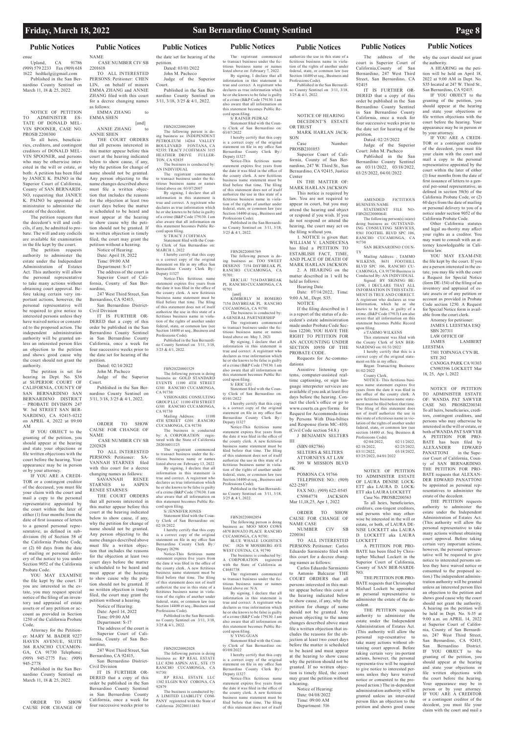Upland, CA 91786 (909) 579 2233 Fax (909) 618 1622 hedtkelg@gmail.com Published in the San Bernardino County Sentinel on March 11, 18 & 25, 2022.

## **Public Notices Public Notices Public Notices Public Notices Public Notices Public Notices Public Notices**

enue

NOTICE OF PETITION TO ADMINISTER ES-TATE OF DONALD MEL-VIN SPOONER, CASE NO.

PROSB 2200300

To all heirs, beneficiaries, creditors, and contingent creditors of DONALD MEL-VIN SPOONER, and persons who may be otherwise interested in the will or estate, or both: A petition has been filed by JANICE K. PAINO in the Superior Court of California, County of SAN BERNARDI-NO, requesting that JANICE K. PAINO be appointed administrator to administer the estate of the decedent.

The petition requests that the decedent's will and codicils, if any, be admitted to probate. The will and any codicils are available for examination in the file kept by the court.

The petition requests authority to administer the estate under the Independent Administration of Estates Act. This authority will allow the personal representative to take many actions without obtaining court approval. Before taking certain very important actions, however, the personal representative will be required to give notice to interested persons unless they have waived notice or consented to the proposed action. The independent administration authority will be granted unless an interested person files an objection to the petition and shows good cause why the court should not grant the authority.

YOU MAY EXAMINE the file kept by the court. If you are interested in the estate, you may request special notice of the filing of an inventory and appraisal of estate assets or of any petition or account as provided in Section 1250 of the California Probate Code.

ANNIE ZHANG to ANNIE SHEN

The petition is set for hearing in Dept. No. S36 at SUPERIOR COURT OF CALIFORNIA, COUNTY OF SAN BERNARDINO SAN BERNARDINO DISTRICT – PROBATE DIVISION 247 W. 3rd STREET SAN BER-NARDINO, CA 92415-0212 on APRIL 4, 2022 at 09:00 AM

IF YOU OBJECT to the granting of the petition, you should appear at the hearing and state your objections or file written objections with the court before the hearing. Your appearance may be in person or by your attorney.

IF YOU ARE A CREDI-TOR or a contingent creditor of the deceased, you must file your claim with the court and mail a copy to the personal representative appointed by the court within the later of either (1) four months from the date of first issuance of letters to a general personal representative, as defined in subdivision (b) of Section 58 of the California Probate Code, or (2) 60 days from the date of mailing or personal delivery of the notice to you under Section 9052 of the California Probate Code.

VANNAH STARNES filed with this court for a decree changing names as follows:<br>SAVANNAH RENEE SAVANNAH RENEE<br>ARNES to ASPEN STARNES to

Attorney for the Petitioner: MARY M. BADER 9227 HAVEN AVENUE, SUITE 368 RANCHO CUCAMON-GA, CA 91730 Telephone: (909) 945-2775 Fax: (909) 945-2778

Published in the San Bernardino County Sentinel on March 11, 18 & 25, 2022.

ORDER TO SHOW CAUSE FOR CHANGE OF CASE NUMBER CIV SB

NAME 2201618

[and]

The registrant commenced to transact business under the fictitious business name or names listed above on: 03/07/2007 By signing, I declare that all information in this statement is true and correct. A registrant who declares as true information which he or she knows to be false is guilty of a crime (B&P Code 179130. I am also aware that all information on this statement becomes Public Record upon filing. S/ TRACY J COFFMAN Statement filed with the Coun-Clerk of San Bernardino on:

TO ALL INTERESTED PERSONS: Petitioner: CHEN LIN, on behalf of minors EMMA ZHANG and ANNIE ZHANG filed with this court for a decree changing names as follows:

EMMA ZHANG to EMMA SHEN

> is a correct copy of the original statement on file in my office San Bernardino County Clerk By:/ Notice-This fictitious name statement expires five years from the date it was filed in the office of ing business as: TOO SWEET DESIGNS 7154 DAYBREAK PL RANCHO CUCAMONGA, CA 91701: ERIC LIU 7154 DAYBREAK PL RANCHO CUCAMONGA, CA

THE COURT ORDERS that all persons interested in this matter appear before this court at the hearing indicated below to show cause, if any, why the petition for change of name should not be granted. Any person objecting to the name changes described above must file a written objection that includes the reasons for the objection at least two court days before the matter is scheduled to be heard and must appear at the hearing to show cause why the petition should not be granted. If no written objection is timely filed, the court may grant the

> Mailing Address: 11100 4TH STREET G301 RANCHO CUCAMONGA, CA 91730 The business is conducted by: A CORPORATION registered with the State of California

petition without a hearing. Notice of Hearing: Date: April 18, 2022

Time: 09:00 AM Department: S-17 The address of the court is Superior Court of Cali-

fornia, County of San Bernardino, 247 West Third Street, San

> S/ JENNIFER JONES Statement filed with the Coun-Clerk of San Bernardino on:

Bernardino, CA 92415, San Bernardino District-

Civil Division IT IS FURTHER OR-DERED that a copy of this order be published in the San Bernardino County Sentinel in San Bernardino County California, once a week for four successive weeks prior to the date set for hearing of the

petition.

Dated: 02/14/2022 John M. Pacheco Judge of the Superior Court.

> The following person is doing business as: RP REAL ESTATE LLC 8280 ASPEN AVE., STE 175 RANCHO CUCAMONGA, CA 91730: ...<br>DD DEAL ESTATE LLC 1382 ELGIN WAY CORONA, CA

Published in the San Bernardino County Sentinel on 3/11, 3/18, 3/25 & 4/1, 2022.

ORDER TO SHOW CAUSE FOR CHANGE OF NAME CASE NUMBER CIV SB

2202828 TO ALL INTERESTED PERSONS: Petitioner: SA-

I hereby certify that this copy is a correct copy of the original statement on file in my office San Bernardino County Clerk By:/ Deputy I1327

Notice-This fictitious name statement expires five years from the date it was filed in the office of the county clerk. A new fictitious business name statement must be filed before that time. The filing of this statement does not of itself authorize the use in this state of a fictitious business name in violation of the rights of another under federal, state, or common law (see Section 14400 et seq., Business and Professions Code).

must appear at the hearing to show cause why the petition should not be granted. If no written objection is timely filed, the court may grant the petition without a hearing.

91701 [and]

Notice of Hearing: Date: April 14, 2022 Time: 09:00 AM Department: S-17 The address of the court is Superior Court of Cali-

fornia, County of San Bernardino,

247 West Third Street, San Bernardino, CA 92415, San Bernardino District-Civil Division

IT IS FURTHER OR-DERED that a copy of this order be published in the San Bernardino County Sentinel in San Bernardino County California, once a week for four successive weeks prior to

filed before that time. The filing of this statement does not of itself authorize the use in this state of a fictitious business name in violation of the rights of another under federal, state, or common law (see Section 14400 et seq., Business and Professions Code). Published in the San Bernardino County Sentinel on 3/11, 3/18,

the date set for hearing of the petition. Dated: 03/01/2022 John M. Pacheco Judge of the Superior



FBN20220002009 The following person is do-ing business as: INDEPENDENT PETROLEUM 14264 VALLEY BOULEVARD FONTANA, CA 92335: TRACY J COFFMAN 3115 HEATHER DRIVE FULLER-

> registrants to transact business under the fictitious business name or names listed above on: N/A

TON, CA 92835

The business is conducted by:

AN INDIVIDUAL

Statement filed with the County Clerk of San Bernardino on: 03/08/2022

Published in the San Bernardi-County Sentinel on 3/11, 3/18,

RENEE STARNES THE COURT ORDERS that all persons interested in this matter appear before this court at the hearing indicated below to show cause, if any, why the petition for change of name should not be granted. Any person objecting to the name changes described above must file a written objection that includes the reasons for the objection at least two court days before the matter is scheduled to be heard and also aware that all information on this statement becomes Public Record upon filing.  $02/18/2022$ Bernardino County Clerk By:/ Deputy I8296 statement expires five years from the date it was filed in the office of the county clerk. A new fictitious

MARCH 1, 2022

I hereby certify that this copy

Deputy I1327

the county clerk. A new fictitious business name statement must be filed before that time. The filing of this statement does not of itself authorize the use in this state of a fictitious business name in violation of the rights of another under federal, state, or common law (see Section 14400 et seq., Business and

Professions Code).

Published in the San Bernardino County Sentinel on 3/11, 3/18,

3/25 & 4/1, 2022.

FBN20220001529 The following person is doing business as: GOLD STANDARD EVENTS 11100 4TH STREET G301 RANCHO CUCAMONGA,

CA 91730:

ing names as follows: Antonio Balcazar THE

VISIONAIRE CONSULTING GROUP LLC 11100 4TH STREET G301 RANCHO CUCAMONGA,

CA 91730

202016011125

The registrant commenced to transact business under the fictitious business name or names listed above on: February 13, 2022 By signing, I declare that all information in this statement is true and correct. A registrant who declares as true information which he or she knows to be false is guilty of a crime (B&P Code 179130. I am

### AMENDED FICTITIOUS BUSINESS NAME STATEMENT FILE NO-

I hereby certify that this copy is a correct copy of the original statement on file in my office San

Notice-This fictitious name

business name statement must be

 $02/04/2022$ ,  $02/11/2022$ ,  $02/25/2022$ ;  $02/18/2022$ ,  $02/25/2022$ ;<br> $03/11/2022$   $03/18/2022$  $03/18/2022$ 03/25/2022, 04/01/2022

3/25 & 4/1, 2022.

FBN20220002028

92879 The business is conducted by: A LIMITED LIABILITY COM-

PANY registered with the State of California 202200111463

### The registrant commenced to transact business under the fic-

titious business name or names listed above on: February 7, 2022 By signing, I declare that all information in this statement is true and correct. A registrant who declares as true information which he or she knows to be false is guilty

> THE PETITION requests authority to administer the estate under the Independent Administration of Estates Act. (This authority will allow the personal rep-resentative to take many actions without obtaining court approval. Before taking certain very im-portant actions, however, the personal representa-tive will be required to give notice to interested persons unless they have waived notice or consented to the proposed action.) The in-dependent administration authority will be granted unless an inter-ested person files an objection to the petition and shows good cause

of a crime (B&P Code 179130. I am also aware that all information on this statement becomes Public Record upon filing. S/ RAINER PEDRAZ

Statement filed with the Coun-Clerk of San Bernardino on: 03/07/2022

> YOU MAY EXAM-INE the file kept by the court. If you are a person interested in the estate, you may file with the court a Request for Special Notice (form DE-154) of the filing of an inventory and appraisal of estate assets or of any petition or account as provided in Probate Code section 1250. A Request for Special Notice form is available from the court clerk.

LAW OFFICE OF **LAMBERT** 

Published in the San Bernardi-County Sentinel on 3/11, 3/18, 3/25 & 4/1, 2022.

### FBN20220001769 The following person is do-

KIMBERLY M ROMERO 7154 DAYBREAK PL RANCHO CUCAMONGA, CA 91701 The business is conducted by:

A GENERAL PARTNERSHIP The registrants commenced to transact business under the fictitious business name or names listed above on: May 3, 2021

By signing, I declare that all information in this statement is true and correct. A registrant who declares as true information which he or she knows to be false is guilty of a crime (B&P Code 179130. I am also aware that all information on this statement becomes Public Record upon filing.

S/ ERIC LIU

Statement filed with the County Clerk of San Bernardino on: 03/01/2022

I hereby certify that this copy is a correct copy of the original statement on file in my office San Bernardino County Clerk By:/

Deputy I1327 Notice-This fictitious name statement expires five years from the date it was filed in the office of the county clerk. A new fictitious business name statement must be filed before that time. The filing of this statement does not of itself authorize the use in this state of a fictitious business name in violation of the rights of another under federal, state, or common law (see Section 14400 et seq., Business and Professions Code).

Published in the San Bernardino County Sentinel on 3/11, 3/18, 3/25 & 4/1, 2022.

### FBN20220002054

The following person is doing business as: MOO MOO COWS BLUE WHALE LOGISTICS

6870 ROVATO PLACE RANCHO CUCAMONGA, CA 91701:

INC 1826 W MOSSBERG AVE WEST COVINA, CA 91790

The business is conducted by:

with the State of California as

A CORPORATION registered C4681738

By signing, I declare that all information in this statement is true and correct. A registrant who declares as true information which he or she knows to be false is guilty of a crime (B&P Code 179130. I am also aware that all information on this statement becomes Public Record upon filing. S/ YING GUAN

I hereby certify that this copy is a correct copy of the original statement on file in my office San Bernardino County Clerk By:/ Deputy I1327

Notice-This fictitious name statement expires five years from the date it was filed in the office of the county clerk. A new fictitious business name statement must be filed before that time. The filing of this statement does not of itself

authorize the use in this state of a fictitious business name in violation of the rights of another under federal, state, or common law (see Section 14400 et seq., Business and

Professions Code).

3/25 & 4/1, 2022.

NOTICE OF HEARING DECEDENT'S ESTATE

OR TRUST

MARK HARLAN JACK-

SON

Case Number:

PROSB2101053

Superior Court of California, County of San Bernardino, 247 W. Third St., San Bernardino, CA 92415, Justice

Center

IN THE MATTER OF: MARK HARLAN JACKSON This notice is required by law. You are not required to appear in court, but you may attend the hearing and object or respond if you wish. If you do not respond or attend the hearing, the court may act on the filing without you. 1. NOTICE is given that: WILLIAM V. LANDECENA has filed a PETITION TO ESTABLISH FACT, TIME, AND PLACE OF DEATH OF MARK HARLAN JACKSON 2. A HEARING on the matter described in 1 will be

held as follows: Hearing Date

9:00 A.M., Dept. S35. NOTICE

Date: 07/14/2022, Time:

If the filing described in 1 is a report of the status of a decedent's estate administration made under Probate Code Section 12200, YOU HAVE THE RIGHT TO PETITION FOR AN ACCOUNTING UNDER SECTION 10950 OF THE PROBATE CODE.

Requests for Ac-commo-

dations

Assistive listening systems, computer-assisted realtime captioning, or sign language interpreter services are available if you ask at least five days before the hearing. Contact the clerk's office or go to www.courts.ca.gov/forms for Request for Accommoda-tions by Persons With Disa-bilties and Response (form MC-410). (Civil Code section 54.8.) J BENJAMIN SELTERS

III

(SBN 082786) SELTERS & SELTERS ATTORNEYS AT LAW 399 W MISSION BLVD

#K

POMONA CA 91766 TELEPHONE NO.: (909)

622-2507

FAX NO.: (909) 622-0545 CN984774 JACKSON Mar 11,18,25, Apr 1, 2022

ORDER TO SHOW CAUSE FOR CHANGE OF

NAME CASE

NUMBER CIV SB

2200161

TO ALL INTERESTED PERSONS: Petitioner: Carlos Eduardo Sarmiento filed with this court for a decree chang-

Carlos Eduardo Sarmiento

COURT ORDERS that all persons interested in this matter appear before this court at the hearing indicated below to show cause, if any, why the petition for change of name should not be granted. Any person objecting to the name changes described above must file a written objection that includes the reasons for the objection at least two court days before the matter is scheduled to be heard and must appear at the hearing to show cause why the petition should not be granted. If no written objection is timely filed, the court may grant the petition without a hearing.

Notice of Hearing: Date: 04/08/2022 Time: 09:00 AM Department: 516

The address of the court is Superior Court of California,County of San Bernardino, 247 West Third Street, San Bernardino, CA 92415

IT IS FURTHER OR-DERED that a copy of this order be published in the San Bernardino County Sentinel in San Bernardino County California, once a week for four successive weeks prior to the date set for hearing of the petition.

Dated: 02/25/2022 Judge of the Superior Court: John M. Pacheco Published in the San

Bernardino County Sentinel on 03/11/2022, 03/18/2022, 03/25/2022, 04/01/2022

FBN20220000641 The following person(s) is(are) doing business as: OUTSTAND-ING CONSULTING SERVICES,

8561 FOOTHIL BLVD SPC 106, RANCHO CUCAMONGA, CA 91730

SAN BERNARDINO COUN-TY

Mailing Address: , TAMMO WILKENS, 8651 FOOTHILL BLVD SPC 106, RANCHO CU-CAMONGA, CA 91730 Business is Conducted By: AN INDIVIDUAL Signed: BY SIGNING BE-LOW, I DECLARE THAT ALL INFORMATION IN THIS STATE-MENT IS TRUE AND CORRECT. A registrant who declares as true information, which he or she knows to be false, is guilty of a crime. (B&P Code 17913) I am also aware that all information on this statement becomes Public Record upon filing.

s/TAMMO WILKENS This statement was filed with the County Clerk of SAN BER-NARDINO on: 01/31/2022

I hereby certify that this is a correct copy of the original statement on file in my office.

Began Transacting Business: 01/02/2022

County Clerk, NOTICE- This fictitious busi-ness name statement expires five years from the date it was filed in the office of the county clerk. A new fictitious business name statement must be filed before that time. The filing of this statement does not of itself authorize the use in this state of a fictitious name in violation of the rights of another under federal, state, or common law (see section 14400 et. Seq. Business & Professions Code).

### NOTICE OF PETITION TO ADMINISTER ESTATE OF LAURA DENISE LOCK-

ETT aka LAURA D. LOCK-ETT aka LAURA LOCKETT Case No. PROSB2200363 To all heirs, beneficiaries, creditors, con-tingent creditors, and persons who may other-

wise be interested in the will or estate, or both, of LAURA DE-NISE LOCKETT aka LAURA D. LOCKETT aka LAURA LOCKETT A PETITION FOR PRO-

BATE has been filed by Christopher Michael Lockett in the Superior Court of California, County of SAN BER-NARDI-

NO. THE PETITION FOR PRO-BATE requests that Christopher Michael Lockett be appointed as personal representative to administer the estate of the decedent.

why the court should not grant the authority.

A HEARING on the petition will be held on April 18, 2022 at 9:00 AM in Dept. No. S35 located at 247 W. Third St., San Bernardino, CA 92415.

IF YOU OBJECT to the granting of the petition, you should appear at the hearing and state your objections or file written objections with the court before the hearing. Your appearance may be in person or by your attorney.

IF YOU ARE A CREDI-TOR or a contingent creditor of the decedent, you must file your claim with the court and mail a copy to the personal representative appointed by the court within the later of either (1) four months from the date of first issuance of letters to a general per-sonal representative, as defined in section 58(b) of the California Probate Code, or (2) 60 days from the date of mailing or personal delivery to you of a notice under section 9052 of the

California Probate Code. Other California statutes and legal au-thority may affect your rights as a creditor. You may want to consult with an attorney knowledgeable in California law.

Attorney for petitioner:

JAMES L LEESTMA ESQ SBN 207311

LEESTMA 7301 TOPANGA CYN BL STE 202

CANOGA PARK CA 91303 CN985396 LOCKETT Mar 18, 25, Apr 1, 2022

NOTICE OF PETITION TO ADMINISTER ESTATE OF: WANDA PAT SAWYER CASE NO. PROSB2200341 To all heirs, beneficiaries, creditors, contingent creditors, and persons who may otherwise be interested in the will or estate, or both of WANDA PAT SAWYER A PETITION FOR PRO-BATE has been filed by<br>ALEXANDER EDWARD **ALEXANDER** PANATTONI in the Superior Court of California, County of SAN BERNARDINO. THE PETITION FOR PRO-BATE requests that ALEXAN-DER EDWARD PANATTONI be appointed as personal representatives to administer the estate of the decedent.

THE PETITION requests authority to administer the estate under the Independent Administration of Estates Act. (This authority will allow the personal representative to take many actions without obtaining court approval. Before taking certain very important actions, however, the personal representative will be required to give notice to interested persons unless they have waived notice or consented to the proposed action.) The independent administration authority will be granted unless an interested person files an objection to the petition and shows good cause why the court should not grant the authority. A hearing on the petition will be held in Dept. No. S-35 at 9:00 a.m. on APRIL 14, 2022 at Superior Court of California, County of San Bernardino, 247 West Third Street, San Bernardino, CA 92415, San Bernardino District.<br>IF YOU OBJECT to the YOU OBJECT to the granting of the petition, you should appear at the hearing and state your objections or file written objections with the court before the hearing. Your appearance may be in person or by your attorney. IF YOU ARE A CREDITOR or a contingent creditor of the decedent, you must file your claim with the court and mail a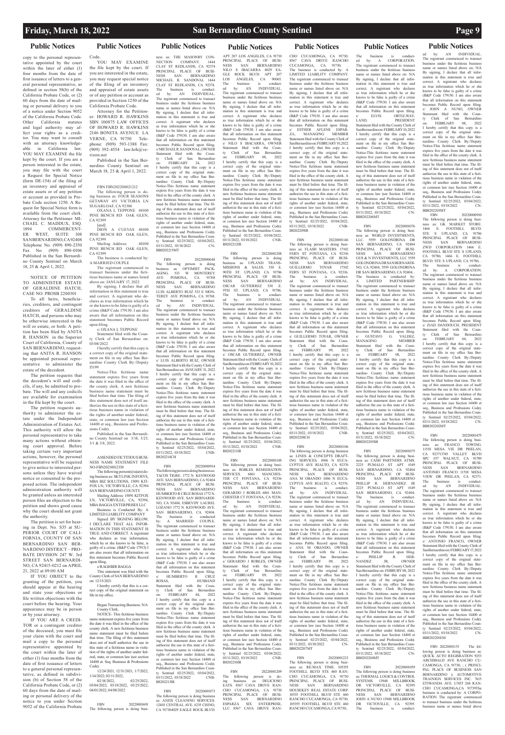copy to the personal representative appointed by the court within the later of either (1) four months from the date of first issuance of letters to a general personal representative, as defined in section 58(b) of the California Probate Code, or (2) 60 days from the date of mailing or personal delivery to you of a notice under Section 9052 of the California Probate Code. Other California statutes and legal authority may affect your rights as a creditor. You may want to consult with an attorney knowledgeable in California law. YOU MAY EXAMINE the file kept by the court. If you are a person interested in the estate, you may file with the court a Request for Special Notice (form DE-154) of the filing of an inventory and appraisal of estate assets or of any petition or account as provided in Probate Code section 1250. A Request for Special Notice form is available from the court clerk. Attorney for the Petitioner: MI-CHAEL C. MADDUX, ESQ.<br>1894 COMMERCENT-COMMERCENT-ER WEST, SUITE 108 SAN BERNARDINO, CA 92408 Telephone No: (909) 890-2350 Fax No: (909) 890-0106 Published in the San Bernardino County Sentinel on March 18, 25 & April 1, 2022.

NOTICE OF PETITION TO ADMINISTER ESTATE OF GERALDINE HATCH, CASE NO. PROSB 2200301

To all heirs, beneficiaries, creditors, and contingent creditors of GERALDINE HATCH, and persons who may be otherwise interested in the will or estate, or both: A petition has been filed by ANITA R. HANSON in the Superior Court of California, County of SAN BERNARDINO, requesting that ANITA R. HANSON be appointed personal representative to administer the estate of the decedent.

The petition requests that the decedent's will and codicils, if any, be admitted to probate. The will and any codicils are available for examination in the file kept by the court.

SUGARLOAF, CA 92386 OXANA L TEPPONE 40100 PINE BENCH RD OAK GLEN, CA 92399 [and]

The petition requests authority to administer the estate under the Independent Administration of Estates Act. This authority will allow the personal representative to take many actions without obtaining court approval. Before taking certain very important actions, however, the personal representative will be required to give notice to interested persons unless they have waived notice or consented to the proposed action. The independent administration authority will be granted unless an interested person files an objection to the petition and shows good cause why the court should not grant the authority.

The petition is set for hearing in Dept. No. S35 at SU-PERIOR COURT OF CALI-FORNIA, COUNTY OF SAN BERNARDINO SAN BER-NARDINO DISTRICT – PRO-BATE DIVISION 247 W. 3rd STREET SAN BERNARDI-NO, CA 92415-0212 on APRIL 21, 2022 at 09:00 AM

IF YOU OBJECT to the granting of the petition, you should appear at the hearing and state your objections or file written objections with the court before the hearing. Your appearance may be in person or by your attorney.

IF YOU ARE A CREDI-TOR or a contingent creditor of the deceased, you must file your claim with the court and mail a copy to the personal representative appointed by the court within the later of either (1) four months from the date of first issuance of letters to a general personal representative, as defined in subdivision (b) of Section 58 of the California Probate Code, or (2) 60 days from the date of mailing or personal delivery of the notice to you under Section 9052 of the California Probate

rect copy of the original statement on file in my office.

## **Public Notices Public Notices Public Notices Public Notices Public Notices Public Notices Public Notices**

Code. YOU MAY EXAMINE the file kept by the court. If you are interested in the estate, you may request special notice of the filing of an inventory and appraisal of estate assets or of any petition or account as provided in Section 1250 of the California Probate Code.

as: THE MASONRY CON-NECTION COMPANY. 1444 CLAY ST REDLANDS, CA 92374 PRINCIPAL PLACE OF BUSI-NESS SAN BERNARDINO MICHAEL R. SANDOVAL 1444 CLAY ST REDLANDS, CA 92374. The business is conduct-ed by: AN INDIVIDUAL. The registrant commenced to transact business under the fictitious business name or names listed above on: N/A By signing, I declare that all information in this statement is true and correct. A registrant who declares as true information which he or she knows to be false is guilty of a crime (B&P Code 179130. I am also aware

Attorney for the Petitioner: HOWARD R. HAWKINS SBN 100875 LAW OFFICES OF HOWARD R. HAWKINS 2146 BONITA AVENUE LA VERNE, CA 91750 Telephone: (909) 593-1388 Fax: (909) 392-4554 law.hrh@verizon.net

Published in the San Bernardino County Sentinel on March 18, 25 & April 1, 2022.

### FBN FBN202200021212 The following person is doing business as: FOUR SEASONS GETAWAY 451 VICTORIA LN

DION A CUEVAS 40100 PINE BENCH RD OAK GLEN, CA 92399 Mailing Address: 40100 PINE BENCH RD OAK GLEN, CA 92399

The busine

A MARRIED COUPLE The registrant commenced to transact business under the fictitious business name or names listed

above on: JANUARY 17, 2022 By signing, I declare that all information in this statement is true and correct. A registrant who declares as true information which he or she knows to be false is guilty of a crime (B&P Code 179130. I am also aware that all information on this statement becomes Public Record upon filing. s/ OXANA L TEPPONE

Statement filed with the Coun-Clerk of San Bernardino on: 03/08/2022

I hereby certify that this copy is a correct copy of the original state-ment on file in my office San Bernardino County Clerk By:/Deputy I5199

Notice-This fictitious name tatement expires five years from the date it was filed in the office of the county clerk. A new fictitious business name statement must be filed before that time. The filing of this statement does not of itself authorize the use in this state of a fictitious business name in violation of the rights of another under federal, state, or common law (see Section 14400 et seq., Business and Professions Code). Published in the San Bernardi-

no County Sentinel on 3/18, 3/25, 3/1 & 3/8, 2022.

AMENDED FICTITIOUS BUSI-NESS NAME STATEMENT FILE NO-FBN20210012330

The following person(s) is(are) doig business as: SKYLINK INFOSYS, MBA BIZ SOLUTIONS, 15091 KIT-FOX LN, VICTORVILLE, CA 92394 SAN BERNARDINO COUNTY Mailing Address: 15091 KITFOX LN, VICTORVILLE, CA, 92394,

MBA BAGGA ENTERPRISES LLC Business is Conducted By: A LIMITED LIABILITY COMPANY Signed: BY SIGNING BELOW, I DECLARE THAT ALL INFOR-MATION IN THIS STATEMENT IS

TRUE AND CORRECT. A registrant who declares as true information, which he or she knows to be false, is guilty of a crime. (B&P Code 17913) I am also aware that all information on this statement becomes Public Record upon filing. s/RAGHBIR BAGGA

This statement was filed with the County Clerk of SAN BERNARDINO on: 12/15/2021 I hereby certify that this is a cor-

Began Transacting Business: N/A

County Clerk,

NOTICE- This fictitious business name statement expires five years from the date it was filed in the office of the county clerk. A new fictitious business name statement must be filed before that time. The filing of this statement does not of itself authorize the use in this state of a fictitious name in violation of the rights of another under federal, state, or common law (see section 14400 et. Seq. Business & Professions Code).

1/14/2022; 02/11/2022,<br>02/18/2022.

12/24/2021, 12/31/2021, 1/7/2022,

02/18/2022, 02/25/2022,

03/04/2022; 03/18/2022, 03/25/2022, 04/01/2022, 04/08/2022

FBN 20220001691 The following person is doing busi-

FBN 20220001208<br>
c following person is doing The following person is doing business as: UPLAND TRANS-MISSIONS & SALES. 530 E. 90TH ST. UPLAND, CA 91786 PRINCIPAL PLACE OF BUSI-NESS SAN BERNARDINO OSCAR GUTIERREZ 530 E. 9TH ST. UPLAND, CA 91786. The business is conduct-ed by: AN INDIVIDUAL. The registrant commenced to transact business under the fictitious business name or names listed above on: N/A By signing, I declare that all information in this statement is true and correct. A registrant who declares as true information which he or she knows to be false is guilty of a crime (B&P Code 179130. I am also aware that all information on this statement becomes Public Record upon filing. s/ OSCAR GUTIERREZ, OWNER Statement filed with the County Clerk of San Bernardino on: FEBRUARY 10,2022 I hereby certify that this copy is a correct copy of the original state-ment on file in my office San Bernardino County Clerk By:/Deputy Notice-This fictitious name statement expires five years from the date it was filed in the office of the county clerk. A new fictitious business name statement must be filed before that time. The filing of this statement does not of itself authorize the use in this state of a fictitious business name in violation of the rights of another under federal, state, or common law (see Section 14400 et seq., Business and Professions Code). Published in the San Bernardino County Sentinel 02/25/2022, 03/04/2022, 03/11/2022, 03/18/2022 CNB-B8202211IR

that all information on this statement becomes Public Record upon filing. s/MICHAEL R. SANDOVAL, OWNER Statement filed with the Coun-ty Clerk of San Bernardino on: FEBRUARY 24, 2022 I hereby certify that this copy is a correct copy of the original state-ment on file in my office San Bernardino County Clerk By:/Deputy Notice-This fictitious name statement expires five years from the date it was filed in the office of the county clerk. A new fictitious business name statement must be filed before that time. The filing of this statement does not of itself horize the use in this state of a fictitious business name in violation of the rights of another under federal, state, or common law (see Section 14400 et seq., Business and Professions Code). Published in the San Bernardino Coun-Sentinel 02/25/2022, 03/04/2022, ty Sentinel 02/25/2022, 03/04/2022<br>03/11/2022, 03/18/2022 CN-BB8202215MT

FBN 20220000648 The following person is doing business as: OPTIMIST PACK-AGING. 533 W MONTEREY<br>AVE POMONA, CA 91768 AVE POMONA, CA 91768 PRINCIPAL PLACE OF BUSI-NESS SAN BERNARDINO LUIS ALBERTO RUIZ 533 E MON-TEREY AVE POMONA, CA 91768. The business is conduct-ed by: AN INDIVIDUAL. The registrant commenced to transact business under the fictitious business name or names listed above on: N/A By signing, I declare that all information in this statement is true and<br>correct. A registrant who declares A registrant who declares as true information which he or she knows to be false is guilty of a crime (B&P Code 179130. I am also aware that all information on this statement becomes Public Record upon filing. s/ LUIS ALBERTO RUIZ, OWNER Statement filed with the County Clerk of San Bernardino on: JANUARY 31, 2022 I hereby certify that this copy is a correct copy of the original state-ment on file in my office San Bernardino County Clerk By:/Deputy Notice-This fictitious name statement expires five years from the date it was filed in the office of the county clerk. A new fictitious business name statement must be filed before that time. The filing of this statement does not of itself horize the use in this state of a fictitious business name in violation of the rights of another under federal, state, or common law (see Section 14400 et seq., Business and Professions Code). Published in the San Bernardino Coun-Sentinel 02/25/2022, 03/04/2022, ty Sentinel 02/25/2022, 03/04/2022<br>03/11/2022, 03/18/2022 CNB-B8202214CH

> FBN 20220001223 The following person is doing business as: RE/MAX TIME. 105355 FOOTHILL BLVD STE 460 RAN-CHO CUCAMONGA, CA 91730 PRINCIPAL PLACE OF BUSI-NESS SAN BERNARDINO HOUSEKEY REAL ESTATE CORP. 10535 FOOTHILL BLVD STE 460 RANCHO CUCAMONGA, CA 91730; 105355 FOOTHILL BLVD STE 460 RANCHO CUCAMONGA, CA 91730;

FBN 20220000914 The following person is doing business as: TACOS TIGRE. 1772 N. KENWOOD AVE. SAN BERNARDINO, CA 92404 PRINCIPAL PLACE OF BUSI-NESS SAN BERNARDINO HUMBERTO R CRUZ ROSAS 1772 N. KENWOOD AVE. SAN BERNARDI-NO, CA 92404; ESBEYDY LAUREL LOZANO 1772 N. KENWOOD AVE. SAN BERNARDINO, CA 92404. The business is conducted by: A MARRIED COUPLE. The registrant commenced to transact business under the fictitious business name or names listed above on: N/A signing, I declare that all information in this statement is true and correct. A registrant who declares as true information which he or she knows to be false is guilty of a crime (B&P Code 179130. I am also aware that all information on this statement becomes Public Record upon filing. s/ HUMBERTO R CRUZ<br>ROSAS. HUSBAND ROSAS, HUSBAND Statement filed with the Coun-ty Clerk of San Bernardino Clerk of San Bernardino<br>FEBRUARY 04, 2022 I hereby certify that this copy is a correct copy of the original statement on file in my office San Bernardino County Clerk By:/Deputy Notice-This fictitious name statement expires five years from the date it was filed in the office of the county clerk. A new fictitious business name statement must be filed before that time. The filing of this statement does not of itself authorize the use in this state of a fictitious business name in violation of the rights of another under federal, state, or common law (see Section 14400 et seq., Business and Professions Code). Published in the San Bernardino County Sentinel 02/25/2022, 03/04/2022,<br>03/11/2022, 03/18/2022 CNB-03/11/2022, 03/18/2022 B8202213IR FBN 20220001073 The following person is doing business as: ANJIX CLEANING SERVICES. 12403 CENTRAL AVE. #235 CHINO,

ness as: WORLD INVESTMENTS, LLC. 5559 GOLONDRINA DR SAN BERNARDINO, CA 92404<br>PRINCIPAL PLACE OF BUSI-<br>NESS SAN BERNARDINO<br>GUS &NINVESTMENTS, LLC 5559 GOLONDRINA DR SAN BERNARDI-NO, CA 92404; 5559 GOLONDRINA DR SAN BERNARDINO, CA 92404; The business is conducted by:<br>A LIMITED PARTNERSHIP. A LIMITED PARTNERSHIP. The registrant commenced to transact business under the fictitious business name or names listed above on: N/A By signing, I declare that all information in this statement is true and correct. A registrant who declares as true information which he or she was to be false is guilty of a crime (B&P Code 179130. I am also aware that all information on this statement<br>becomes Public Record upon filing. becomes Public Record upon filing. s/ GUSTAVO G. VALDEZ, MANAGING MEMBER Statement filed with the Coun-<br>ty Clerk of San Bernardino ty Clerk of San Bernardino on: FEBRUARY 08, 2022 I hereby certify that this copy is a correct copy of the original state-ment on file in my office San Bernardino County Clerk By:/Deputy Notice-This fictitious name statement expires five years from the date it was filed in the office of the county clerk. A new fictitious business name statement must be filed before that time. The filing of this statement does not of itself authorize the use in this state of a fictitious business name in violation of the rights of another under federal, state, or common law (see Section 14400 et seq., Business and Professions Code). Published in the San Bernardino Coun-Sentinel 02/25/2022, 03/04/2022 03/11/2022, 03/18/2022 CN-

CA 917104029 EAGLE ROCK BLVD.

APT 207 LOS ANGELES, CA 91710 PRINCIPAL PLACE OF BUSI-NESS SAN BERNARDINO NESS SAN BENNANDING<br>NILO S IBACARRA 4029 EA-<br>GLE ROCK BLVD. APT 207 GLE ROCK BLVD. APT 207 LOS ANGELES, CA 90065. The business is conduct-ed by: AN INDIVIDUAL. The registrant commenced to transact business under the fictitious busine name or names listed above on: N/A By signing, I declare that all information in this statement is true and correct. A registrant who declares as true information which he or she knows to be false is guilty of a crime (B&P Code 179130. I am also aware that all information on this statement becomes Public Record upon filing. NILO S IBACARRA, OWNER Statement filed with the County Clerk of San Bernardino on: FEBRUARY 08, 2022 I hereby certify that this copy is a correct copy of the original state-ment on file in my office San Bernardino County Clerk By:/Deputy Notice-This fictitious name statement expires five years from the date it was filed in the office of the county clerk. A new fictitious business name statement must be filed before that time. The filing of this statement does not of itself authorize the use in this state of a fictitious business name in violation of the rights of another under federal, state, or common law (see Section 14400 et seq., Business and Professions Code). Published in the San Bernardino County Sentinel 02/25/2022, 03/04/2022, 03/11/2022, 03/18/2022 CNB-B8202212IR

ed by: AN INDIVIDUAL. The registrant commenced to transact business under the fictitious business name or names listed above on: N/A By signing, I declare that all information in this statement is true and correct. A registrant who declares as true information which he or she knows to be false is guilty of a crime (B&P Code 179130. I am also aware that all information on this statement becomes Public Record upon filing. s/ JOHN A NUNO, OWNER Statement filed with the Coun-<br>ty Clerk of San Bernardino ty Clerk of San Bernardino on: FEBRUARY 08, 2022 I hereby certify that this copy is a correct copy of the original statement on file in my office San Bernardino County Clerk By:/Deputy nardino County Clerk By:/Deputy Notice-This fictitious name statement expires five years from the date it was filed in the office of the county clerk. A new fictitious business name statement must be filed before that time. The filing of this statement does not of itself authorize the use in this state of a fictitious business name in violation of the rights of another under federal, state or common law (see Section 14400 et seq., Business and Professions Code). Published in the San Bernardino County Sentinel 02/25/2022, 03/04/2022, 03/11/2022, 03/18/2022 CN-

The following person is doing busi-ness as: FRANCO TOWING. 11518 MESA VIE DR PHELAN, CA 923713745 VALLEY BLVD SPC #57 WALNUT, CA 91789 PRINCIPAL PLACE OF BUSI-NESS SAN BERNARDINO ANTONIO FRANCO 11518 MESA VIEW DR PHELAN, CA 92371.<br>The business is conduct-The business is conduct-ed by: AN INDIVIDUAL. The registrant commenced to transact business under the fictitious business name or names listed above on: N/A By signing, I declare that all information in this statement is true and correct. A registrant who declares as true information which he or she knows to be false is guilty of a crime (B&P Code 179130. I am also aware that all information on this statement becomes Public Record upon filing. s/ ANTONIO FRANCO, OWNER Statement filed with the County Clerk of

FBN 20220001148

The following person is doing busi-ness as: ROBLES REMEDIATION SERVICES. 6861 MANCHES-TER CT FONTANA, CA 92336 PRINCIPAL PLACE OF BUSI-NESS SAN BERNARDINO GERARDO J ROBLES 6861 MAN-CHESTER CT FONTANA, CA 92336. The business is conduct-ed by: AN INDIVIDUAL. The registrant commenced to transact business under the fictitious business name or names listed above on: N/A By signing, I declare that all information in this statement is true and correct. A registrant who declares as true information which he or she knows to be false is guilty of a crime (B&P Code 179130. I am also aware that all information on this statement becomes Public Record upon filing. becomes Public Record upon filing. s/ GERARDO J ROBLES, OWNER Statement filed with the Coun-ty Clerk of San Bernardino on: FEBRUARY 09, 2022 I hereby certify that this copy is a correct copy of the original statement on file in my office San Ber-nardino County Clerk By:/Deputy Notice-This fictitious name statement expires five years from the date it was filed in the office of the county clerk. A new fictitious business name statement must be filed before that time. The filing of this statement does not of itself authorize the use in this state of a fictitious business name in violation of the rights of another under federal, state or common law (see Section 14400 et seq., Business and Professions Code). Published in the San Bernardino Coun-ty Sentinel 02/25/2022, 03/04/2022, 03/11/2022, 03/18/2022 CNB-B8202210IR FBN 20220001209 The following person is do-

ing business as: DELICIOSO EATS. 8567 CAVA DRIVE RAN-

CHO CUCAMONGA, CA 91730<br>PRINCIPAL PLACE OF BUSI-<br>NESS SAN BERNARDINO<br>ESPARZA SIX ENTERPRISE,<br>LLC 8567 CAVA DRIVE RAN-

CHO CUCAMONGA, CA 91730; 8567 CAVA DRIVE RANCHO CUCAMONGA, CA 91730; . The business is conducted by: A LIMITED LIABILITY COMPANY. The registrant commenced to transact business under the fictitious business name or names listed above on: N/A By signing. I declare that all information in this statement is true and correct. A registrant who declares as true information which he or she knows to be false is guilty of a crime (B&P Code 179130. I am also aware that all information on this statement becomes Public Record upon filing. s/ ESTHER AFLENE ESPAR-ZA, MANAGING MEMBER Statement filed with the County Clerk of San Bernardino on: FEBRUARY 10, 2022 I hereby certify that this copy is a correct copy of the original state-ment on file in my office San Bernardino County Clerk By:/Deputy Notice-This fictitious name statement expires five years from the date it was filed in the office of the county clerk. A new fictitious business name statement must be filed before that time. The filing of this statement does not of itself authorize the use in this state of a fictitious business name in violation of the rights of another under federal, state, or common law (see Section 14400 et seq., Business and Professions Code). Published in the San Bernardino County Sentinel 02/25/2022, 03/04/2022, 03/11/2022, 03/18/2022 CNB-B8202209IR

FBN 20220001146 The following person is doing busi-ness as: FLASH MASTERS. 17102 FERN ST FONTANA, CA 92336 PRINCIPAL PLACE OF BUSI-NESS SAN BERNARDINO GUILLERMO TOVAR 17102 FERN ST FONTANA, CA 92336.<br>The business is conduct-The business is conduct-ed by: AN INDIVIDUAL. The registrant commenced to transact business under the fictitious business name or names listed above on: N/A By signing, I declare that all information in this statement is true and correct. A registrant who declares as true information which he or she knows to be false is guilty of a crime (B&P Code 179130. I am also aware that all information on this statement becomes Public Record upon filing.  $s/$  GUILLERMO TOVAR, OWNER Statement filed with the Coun-ty Clerk of San Bernardino FEBRUARY 09, 2022 I hereby certify that this copy is a correct copy of the original state-ment on file in my office San Bernardino County Clerk By:/Deputy Notice-This fictitious name statement expires five years from the date it was filed in the office of the county clerk. A new fictitious business name statement must be filed before that time. The filing of this statement does not of itself authorize the use in this state of a fictitious business name in violation of the rights of another under federal, state, or common law (see Section 14400 et seq., Business and Professions Code). Published in the San Bernardino County Sentinel 02/25/2022, 03/04/2022, 03/11/2022, 03/18/2022 CNB-B8202208CH

### FBN 20220001106 The following person is doing business as: LINES & CONCEPTS DRAFT-ING SERVICES. 1006 N EUCA-LYPTUS AVE RIALTO, CA 92376 PRINCIPAL PLACE OF BUSI-<br>NESS SAN BERNARDING SAN BERNARDINO ANA M OBANDO 1006 N EUCA-LYPTUS AVE RIALTO, CA 92376. The business is conduct-ed by: AN INDIVIDUAL. The registrant commenced to transact business under the fictitious business name or names listed above on: N/A

By signing, I declare that all information in this statement is true and correct. A registrant who declares as true information which he or she knows to be false is guilty of a crime (B&P Code 179130. I am also aware that all information on this statement becomes Public Record upon filing. s/ ANA M OBANDO, OWNER Statement filed with the Coun-ty Clerk of San Bernardino on: FEBRUARY 09, 2022

I hereby certify that this copy is a correct copy of the original statement on file in my office San Bernardino County Clerk By:/Deputy Notice-This fictitious name statement expires five years from the date it was filed in the office of the county clerk. A new fictitious business name statement must be filed before that time. The filing of this statement does not of itself authorize the use in this state of a fictitious business name in violation of the rights of another under federal, state or common law (see Section 14400 et seq., Business and Professions Code). Published in the San Bernardino Coun-Shahed in the Ball Bernardine Board<br>Sentinel 02/25/2022, 03/04/2022, 03/11/2022, 03/18/2022 CN-BB8202207MT

The business is conduct-ed by: A CORPORATION. The registrant commenced to transact business under the fictitious business name or names listed above on: N/A By signing, I declare that all information in this statement is true and correct. A registrant who declares as true information which he or she knows to be false is guilty of a crime (B&P Code 179130. I am also aware that all information on this statement becomes Public Record upon filing. s/
ELVIS
ORTIZ-WAYLAND,
PRESIDENT PRESIDENT Statement filed with the County Clerk of San Bernardinoon: FEBRUARY 10, 2022 I hereby certify that this copy is a correct copy of the original state-ment on file in my office San Ber-nardino County Clerk By:/Deputy Notice-This fictitious name statement expires five years from the date it was filed in the office of the county clerk. A new fictitious business name statement must be filed before that time. The filing of this statement does not of itself authorize the use in this state of a fictitious business name in violation of the rights of another under federal, state, or common law (see Section 14400 et seq., Business and Professions Code). Published in the San Bernardino County Sentinel 02/25/2022, 03/04/2022, 03/11/2022, 03/18/2022 CN BB8202206MT

## FBN 20220001076 The following person is doing busi-

# BB8202205SB

FBN 20220001075 The following person is doing business as: CASH PARTNERS ATMS.<br>2225 PUMALO ST APT #149 2225 PUMALO ST APT #149 SAN BERNARDINO, CA 92404 PRINCIPAL PLACE OF BUSI-NESS SAN BERNARDINO PHILLIP R. HERNANDEZ JR 2225 PUMALO ST APT #149 SAN BERNARDINO, CA 92404. The business is conduct-ed by: AN INDIVIDUAL. The registrant commenced to transact business under the fictitious business name or names listed above on: N/A By signing, I declare that all infor-mation in this statement is true and correct. A registrant who declares as true information which he or she knows to be false is guilty of a crime (B&P Code 179130. I am also aware that all information on this statement becomes Public Record upon filing. s/ PHILLIP R. HER-NANDEZ JR, OWNER Statement filed with the County Clerk of San Bernardino on: FEBRURY 08, 2022

I hereby certify that this copy is a correct copy of the original state-ment on file in my office San Bernardino County Clerk By:/Deputy Notice-This fictitious name statement expires five years from the date it was filed in the office of the county clerk. A new fictitious business name statement must be filed before that time. The filing of this statement does not of itself authorize the use in this state of a fictitious business name in violation of the rights of another under federal, state, or common law (see Section 14400 et seq., Business and Professions Code). Published in the San Bernardino Coun-Sentinel 02/25/2022, 03/04/2022 ty Sentinel 02/25/2022, 03/04/2022,<br>03/11/2022, 03/18/2022 CN-BB8202204MT

FBN 20220001059 The following person is doing business as: THERMAL LOGICS & CONTROL SYSTEMS. 13948 MILLBROOK NICTORVILLE, CA 92395 PRINCIPAL PLACE OF BUSI-NESS SAN BERNARDINO JOHN A NUNO 13948 MILLBROOK DR VICTOVILLE, CA 92395. The business is conductBB8202203MT

FBN 20220000910 The following person is doing busi-ness as: GK MARKET STORE. 1466 E. FOOTHILL BLVD.<br>STE S UPLAND, CA 91786 STE S UPLAND, CA 91786 PRINCIPAL PLACE OF BUSI-NESS SAN BERNARDINO ZWD CORPORATION 1466 E. FOOTHILL BLVD STE S UPLAND,<br>CA 91786; 1466 E. FOOTHILL CA 91786; 1466 E. FOOTHILL BLVD. STE S UPLAND, CA 91786; . The business is conduct-ed by: A CORPORATION. The registrant commenced to transact business under the fictitious business name or names listed above on: N/A By signing, I declare that all infor-mation in this statement is true and correct. A registrant who declares as true information which he or she knows to be false is guilty of a crime (B&P Code 179130. I am also aware that all information on this statement becomes Public Record upon filing. ZIAD DANDOUCH, PRESIDENT Statement filed with the Coun-ty Clerk of San Bernardino on: FEBRUARY 04, 2022 I hereby certify that this copy is a correct copy of the original state-ment on file in my office San Bernardino County Clerk By:/Deputy Notice-This fictitious name statement expires five years from the date it was filed in the office of the county clerk. A new fictitious business name statement must be filed before that time. The filing of this statement does not of itself authorize the use in this state of a fictisiness name in violation of the rights of another under federal, state, or common law (see Section 14400 et seq., Business and Professions Code). Published in the San Bernardino County Sentinel 02/25/2022, 03/04/2022, 03/11/2022, 03/18/2022 CN-

BB8202202MT

FBN 20220001475

San Bernardino on: FEBRUARY 17, 2022 hereby certify that this copy is a correct copy of the original statement on file in my office San Ber-nardino County Clerk By:/Deputy Notice-This fictitious nam expires five years from the date it was filed in the office of the county clerk. A new fictitious business name statement must be filed before that time. The filing of this statement does not of itself authorize the use in this state of a fictitious business name in violation of the rights of another under federal, state, or common law (see Section 14400 et seq., Business and Professions Code). Published in the San Bernardin ty Sentinel 02/25/2022, 03/04/2022,<br>03/11/2022 03/18/2022  $03/11/2022$   $03/18/2022$ BB8202201EM

FBN 20220001153 The following person is doing business as: QUICK AUTO REGISRATION 9253 ARCHIBALD AVE RANCHO CU-CAMONGA, CA 91730; ; ( PRINCI-PAL PLACE OF BUSINESS SAN BERNARDINO ); AUTOMOTIVE TRAINIGN SERVICES INC. 7615 ETIWANDA AVE. UNIT 268 RAN-CHO CUCAMONGA,CA 91739The business is conducted by: A CORPO-RATION The registrant commenced to transact business under the fictitious business name or names listed above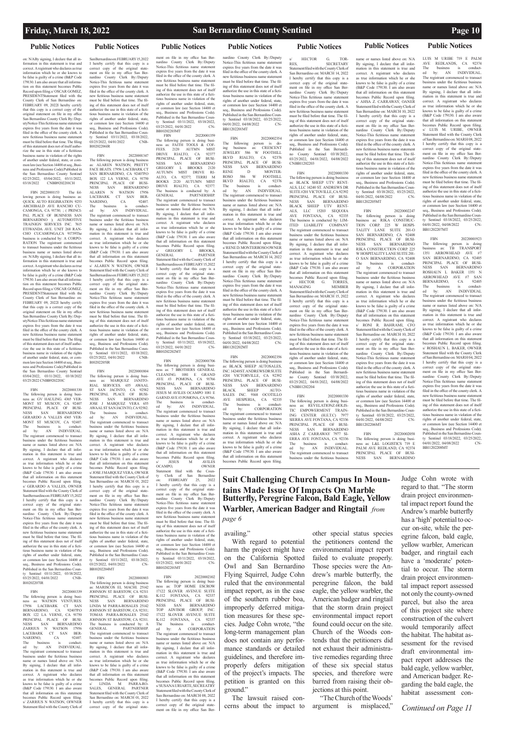### **Public Notices Public Notices**

## **Friday, March 18, 2022 San Bernardino County Sentinel Page 10**

LUIS M URIBE 719 E PALM<br>AVE REDLANDS, CA 92374 AVE REDLANDS, CA 92374<br>The business is conduct-The business is conduct-ed by: AN INDIVIDUAL. The registrant commenced to transact business under the fictitious business name or names listed above on: N/A By signing, I declare that all information in this statement is true and correct. A registrant who declares as true information which he or she knows to be false is guilty of a crime (B&P Code 179130. I am also aware that all information on this statement becomes Public Record upon filing. s/ LUIS M. LURIBE, OWNER Statement filed with the County Clerk of San Bernardino on: MARH 08, 2022 I hereby certify that this copy is a correct copy of the original statement on file in my office San Bernardino County Clerk By:/Deputy Notice-This fictitious name statement expires five years from the date it was filed in the office of the county clerk. A new fictitious business name statement must be filed before that time. The filing of this statement does not of itself authorize the use in this state of a fictitious business name in violation of the rights of another under federal, state, or common law (see Section 14400 et seq., Business and Professions Code). Published in the San Bernardino County Sentinel 03/18/2022, 03/25/2022, 04/01/2022, 04/08/2022 CN-

# **Public Notices Public Notices Public Notices Public Notices Public Notices**

on: N/ABy signing, I declare that all information in this statement is true and correct. A registrant who declares as true information which he or she knows to be false is guilty of a crime (B&P Code 179130. I am also aware that all information on this statement becomes Public Record upon filing.s/ OSCAR GOMEZ, PRESIDENTStatement filed with the County Clerk of San Bernardino on: FEBRUARY 09, 2022I hereby certify that this copy is a correct copy of the original statement on file in my office San Bernardino County Clerk By:/DeputyNotice-This fictitious name statement expires five years from the date it was filed in the office of the county clerk. A new fictitious business name statement must be filed before that time. The filing of this statement does not of itself authorize the use in this state of a fictitious business name in violation of the rights of another under federal, state, or mon law (see Section 14400 et seq., Business and Professions Code).Published in the San Bernardino County Sentinel 02/25/2022, 03/04/2022, 03/11/2022, 03/18/2022 CNBB9202201CH

FBN 20220001330 The following person is doing business as: GV HAULING. 4365 VER-MONT ST MUSCOY, CA 92407 PRINCIPAL PLACE OF BUSI-NESS SAN BERNARDINO GERARDO A VALLES 4365 VER-MONT ST MUSCOY, CA 92407.<br>The business is conduct-The business is conduct-ed by: AN INDIVIDUAL. The registrant commenced to transact business under the fictitious business name or names listed above on: N/A By signing, I declare that all information in this statement is true and correct. A registrant who declares as true information which he or she knows to be false is guilty of a crime (B&P Code 179130. I am also aware that all information on this statement becomes Public Record upon filing. s/ GERARDO A VALLES, OWNER Statement filed with the County Clerk of San Bernardinoon: FEBRUARY 15,2022 I hereby certify that this copy is a correct copy of the original state-ment on file in my office San Bernardino County Clerk By:/Deputy Notice-This fictitious name statement expires five years from the date it was filed in the office of the county clerk. A new fictitious business name statement must be filed before that time. The filing of this statement does not of itself authorize the use in this state of a fictitious business name in violation of the rights of another under federal, state, or common law (see Section 14400 et seq., Business and Professions Code). Published in the San Bernardino Coun- $03/18/2022$ 

FBN 20220001153 The following person is doing business as: QUICK AUTO REGISRATION 9253 ARCHIBALD AVE RANCHO CU-CAMONGA, CA 91730; ; ( PRINCI-PAL PLACE OF BUSINESS SAN BERNARDINO ); AUTOMOTIVE TRAINIGN SERVICES INC. 7615 ETIWANDA AVE. UNIT 268 RAN-CHO CUCAMONGA,CA 91739The business is conducted by: A CORPO-RATION The registrant commenced to transact business under the fictitious business name or names listed above on: N/ABy signing, I declare that all information in this statement is true and correct. A registrant who declares as true information which he or she knows to be false is guilty of a crime (B&P Code 179130. I am also aware that all information on this statement becomes Public Record upon filing.s/ OSCAR GOMEZ, PRESIDENTStatement filed with the County Clerk of San Bernardino on: FEBRUARY 09, 2022I hereby certify that this copy is a correct copy of the original statement on file in my office San Bernardino County Clerk By:/Dep $utyNotice-This$  fictitious name statements expires five years from the date it was filed in the office of the county clerk. A new fictitious business name statem must be filed before that time. The filing of this statement does not of itself authorize the use in this state of a fictitious business name in violation of the rights of another under federal, state, or c mon law (see Section 14400 et seq., Business and Professions Code).Published in the San Bernardino County Sentinel 03/04/2022, 03/11/2022, 03/18/2022 03/25/2022 CNBB9202201C

San Bernardino on: FEBRUARY 15, 2022 I hereby certify that this copy is a correct copy of the original state-ment on file in my office San Bernardino County Clerk By:/Deputy Notice-This fictitious name statement expires five years from the date it was filed in the office of the county clerk. A new fictitious business name statement must be filed before that time. The filing of this statement does not of itself authorize the use in this state of a fictitious business name in violation of the rights of another under federal, state, or common law (see Section 14400 et seq., Business and Professions Code). Published in the San Bernardino County Sentinel 03/11/2022, 03/18/2022, 03/25/2022, 04/01/2022 CNB-B10202206IR

20220001804 The following person is doing business as: MARQUEZ JANITOness as: MARQUEZ JANITO-RIAL SERVICES. 655 AWAAL ST SAN JACINTO, CA 92582 PRINCIPAL PLACE OF BUSI-NESS SAN BERNARDINO JOSE J MARQUEZ VERA 655 AWAAL ST SAN JACINTO, CA 92582. The business is conduct-ed by: AN INDIVIDUAL. The registrant commenced to transact business under the fictitious busines name or names listed above on: N/A By signing, I declare that all information in this statement is true and correct. A registrant who declares as true information which he or she knows to be false is guilty of a crime (B&P Code 179130. I am also aware that all information on this statement becomes Public Record upon filing. s/ JOSE J MARQUEZ VERA, OWNER Statement filed with the County Clerk of San Bernardino on: MARCH 01, 2022 I hereby certify that this copy is a correct copy of the original state-ment on file in my office San Bernardino County Clerk By:/Deputy Notice-This fictitious name statement expires five years from the date it was filed in the office of the county clerk. A<br>new fictitious business name statement new fictitious business name must be filed before that time. The filing of this statement does not of itself authorize the use in this state of a fictitious business name in violation of the rights of another under federal, state or common law (see Section 14400 et seq., Business and Professions Code). Published in the San Bernardino County Sentinel 03/11/2022, 03/18/2022, 03/25/2022, 04/01/2022 CN-

| 03/25/2022, 04/01/2022<br>CNB-                    |
|---------------------------------------------------|
| B10202207IR                                       |
|                                                   |
| 20220001339<br><b>FBN</b>                         |
| The following person is doing busi-               |
| ness as: WATSON VENTURES.                         |
| 17956 LACEBARK CT SAN                             |
| BERNARDINO, CA 92407P.O                           |
| BOX 122 LA VERNE, CA 91750                        |
| PRINCIPAL PLACE OF BUSI-                          |
| NESS SAN BERNARDINO                               |
| ZARRIUS N WATSON 17956                            |
| LACEBARK CT SAN BER-<br>NARDINO, CA 92407.        |
|                                                   |
| The business is conduct-<br>ed by: AN INDIVIDUAL. |
|                                                   |
| The registrant commenced to transact              |
| business under the fictitious business            |
| name or names listed above on: N/A                |
| By signing, I declare that all infor-             |
| mation in this statement is true and              |
| correct. A registrant who declares                |
| as true information which he or she               |
| knows to be false is guilty of a crime            |
| (B&P Code 179130. I am also aware                 |
| that all information on this statement            |
| becomes Public Record upon filing.                |
| s/ ZARRIUS N WATSON, OIWNER                       |
| Statement filed with the County Clerk of          |

20220001359 The following person is doing business as: FAITH TOOLS & COF-FEES. 2120 AUTMN MIST DRIVE RIALTO, CA 92377 PRINCIPAL PLACE OF BUSI-NESS SAN BERNARDINO GREGORY L BROOKS 2120 AUTUMN MIST DRIVE RI-ALTO, CA 92377; TERRI M BOOKS 2120 AUTUMN MIST DRIVE RIALTO, CA 92377. The business is conducted by: A GENERAL PARTNERSHIP. The registrant commenced to transact business under the fictitious busines name or names listed above on: N/A By signing, I declare that all information in this statement is true and correct. A registrant who declares as true information which he or she knows to be false is guilty of a crime (B&P Code 179130. I am also aware that all information on this statement becomes Public Record upon filing. s/ GREGORY L BROOKS, GENERAL PARTNER Statement filed with the County Clerk of San Bernardino on: FEBRUARY 15, 2022 I hereby certify that this copy is a correct copy of the original state-ment on file in my office San Bernardino County Clerk By:/Deputy Notice-This fictitious name statement expires five years from the date it was filed in the office of the county clerk. A new fictitious business name statement must be filed before that time. The filing of this statement does not of itself authorize the use in this state of a fictitious business name in violation of the rights of another under federal, state, or common law (see Section 14400 et seq., Business and Professions Code). Published in the San Bernardino County Sentinel 03/11/2022, 03/18/2022. 03/25/2022, 04/01/2022 CN-BB10202202MT

FBN 20220001347 The following person is doing business as: ALAREN WATSON; PRETTY FACE BEATS. 17956 LACEBARK CT SAN BERNARDINO, CA 92407P.O BOX 122 LA VERNE, CA 91750 PRINCIPAL PLACE OF BUSI-NESS SAN BERNARDINO ALAREN N WATSON 17956 LACEBARK CT SAN BER-<br>NARDINO, CA 92407 NARDINO, CA 92407. The business is conduct-ed by: AN INDIVIDUAL. The registrant commenced to transact business under the fictitious busines name or names listed above on: N/A By signing, I declare that all information in this statement is true and correct. A registrant who declares as true information which he or she knows to be false is guilty of a crime (B&P Code 179130. I am also aware that all information on this statement becomes Public Record upon filing. s/ ALAREN N WATSON, OWNER Statement filed with the County Clerk of San Bernardino on: FEBRUARY 15, 2022 I hereby certify that this copy is a correct copy of the original state-ment on file in my office San Ber-nardino County Clerk By:/Deputy Notice-This fictitious name statement expires five years from the date it was filed in the office of the county clerk. A new fictitious business name must be filed before that time. The filing of this statement does not of itself authorize the use in this state of a fictitious business name in violation of the rights of another under federal, state or common law (see Section 14400 et seq., Business and Professions Code). Published in the San Bernardino County Sentinel 03/11/2022, 03/18/2022, 03/25/2022, 04/01/2022 CNB-B10202205IR

> **SIESUS** M AVILES<br>PO, OWNER OCAMPO, OWNER Statement filed with the County Clerk of San Bernardino on: FEBRUARY 25, 2022 I hereby certify that this copy is a correct copy of the original state-ment on file in my office San Bernardino County Clerk By:/Deputy Notice-This fictitious name statement expires five years from the date it was filed in the office of the county clerk. A new fictitious business name statement must be filed before that time. The filing of this statement does not of itself authorize the use in this state of a fictitious business name in violation of the rights of another under federal, state, or common law (see Section 14400 et seq., Business and Professions Code). Published in the San Bernardino County Sentinel 03/11/2022, 03/18/2022, 03/25/2022, 04/01/2022 CN-

BB10202204MT

s/ HECTOR G. TOR-<br>RES. SECRETARY SECRETARY Statement filed with the County Clerk of San Bernardino on: MARCH 14, 2022 I hereby certify that this copy is a correct copy of the original statement on file in my office San Bernardino County Clerk By:/Deputy Notice-This fictitious name statem expires five years from the date it was filed in the office of the county clerk. A new fictitious business name statement must be filed before that time. The filing of this statement does not of itself authorize the use in this state of a fictitious business name in violation of the rights of another under federal, state, or common law (see Section 14400 et seq., Business and Professions Code). Published in the San Bernardino County Sentinel 03/18/2022, 03/25/2022, 04/01/2022, 04/08/2022 CNBB11202203

FBN 20220001803 The following person is doing business as: MARISCOS EL MACHI. 25142 JOHNSON ST BARSTOW, CA 92311 PRINCIPAL PLACE OF BUSI-NESS SAN BERNARDINO LINDA M PARRA-ROSALES 25142 JOHNSON ST BARSTOW, CA 92311; TOMAS PARRA-ROSALES 25142 JOHNSON ST BARSTOW, CA 92311. The business is conducted by:<br>
GENERAL PARTNERSE PARTNERSHIP.<br>menced to transact The registrant comm business under the fictitious business name or names listed above on: N/A By signing, I declare that all information in this statement is true and correct. A registrant who declares as true information which he or she knows to be false is guilty of a crime (B&P Code 179130. I am also aware that all information on this statement becomes Public Record upon filing. LINDA M PARRA-RO-SALES, GENERAL PARTNER Statement filed with the County Clerk of San Bernardino on: MARCH 01, 2022 I hereby certify that this copy is a correct copy of the original state-

name or names listed above on: N/A By signing. I declare that all information in this statement is true and correct. A registrant who declares as true information which he or she knows to be false is guilty of a crime (B&P Code 179130. I am also aware that all information on this statement becomes Public Record upon filing. s/ AHSA Z. CARRAWAY, OANER Statement filed with the County Clerk of San Bernardino on: MARCH 10, 2022 I hereby certify that this copy is a correct copy of the original state-ment on file in my office San Bernardino County Clerk By:/Deputy Notice-This fictitious name statement expires five years from the date it was filed in the office of the county clerk. A new fictitious business name statement must be filed before that time. The filing of this statement does not of itself authorize the use in this state of a fictitious business name in violation of the rights of another under federal, state, or common law (see Section 14400 et seq., Business and Professions Code). Published in the San Bernardino County Sentinel 03/18/2022, 03/25/2022,<br>04/01/2022 04/08/2022 CN- $04/01/2022$ ,  $04/08/2022$ 

ment on file in my office San Bernardino County Clerk By:/Deputy Notice-This fictitious name statement expires five years from the date it was filed in the office of the county clerk. A new fictitious business name statem must be filed before that time. The filing of this statement does not of itself authorize the use in this state of a fictitious business name in violation of the rights of another under federal, state, or common law (see Section 14400 et seq., Business and Professions Code). Published in the San Bernardino County Sentinel 03/11/2022, 03/18/2022, 03/25/2022, 04/01/2022 CN-BB10202203MT

FBN 20220001706 The following person is doing business as: 7 BROTHERS GENERAL CLEANING. 1081 E GRAND AVE #3 POMONA, CA 91766 PRINCIPAL PLACE OF BUSI-<br>NESS SAN RERNARDINO NESS SAN BERNARDINO JESUS M AVILES OCAMPO 1081 E GARND AVE #3 POMONA, CA 91766.<br>The business is conduct-The business is conduct-ed by: AN INDIVIDUAL. The registrant commenced to transact business under the fictitious business name or names listed above on: N/A By signing, I declare that all information in this statement is true and correct. A registrant who declares as true information which he or she knows to be false is guilty of a crime (B&P Code 179130. I am also aware that all information on this statement becomes Public Record upon filing.

BB10202201MT

FBN 20220002102 The following person is doing business as: TOP HOME ESCROW 17122 SLOVER AVENUE SUITE K-112 FONTANA, CA 92337 PRINCIPAL PLACE OF BUSI-NESS SAN BERNARDINO TOP ADVISOR GROUP, INC. 17122 SLOVER AVENUE SUITE K-112 FONTANA, CA 92337 The business is conducted by: A CORPORATION The registrant commenced to transact business under the fictitious business name or names listed above on: N/A By signing, I declare that all information in this statement is true and correct. A registrant who declares as true information which he or she knows to be false is guilty of a crime (B&P Code 179130. I am also aware that all information on this statement becomes Public Record upon filing. s/ SUSANA URIARTE, SECREATRY Statement filed with the County Clerk of San Bernardino on: MARCH 08, 2022 I hereby certify that this copy is a correct copy of the original state-ment on file in my office San Ber-

nardino County Clerk By:/Deputy Notice-This fictitious name expires five years from the date it was filed in the office of the county clerk. A new fictitious business name statement must be filed before that time. The filing of this statement does not of itself authorize the use in this state of a fictitious business name in violation of the rights of another under federal, state, or common law (see Section 14400 et seq., Business and Professions Code). Published in the San Bernardino County Sentinel 03/18/2022, 03/25/2022, 04/01/2022, 04/08/2022 BB11202201MT

FBN 20220002354 The following person is do-ing business as: CRESCENT JEWELRY 586 W FOOTHILL<br>BLVD RIALTO, CA 92376 RIALTO, CA 92376 PRINCIPAL PLACE OF BUSI-NESS SAN BERNARDINO<br>RENE D MONTER-D MONTER-<br>586 W FOOTHILL ROSO 586 W FOOTHILL BLVD RIALTO, CA 92376 The business is conduct-ed by: AN INDIVIDUAL. The registrant commenced to transact business under the fictitious business name or names listed above on: N/A By signing, I declare that all information in this statement is true and correct. A registrant who declares as true information which he or she knows to be false is guilty of a crime (B&P Code 179130. I am also aware that all information on this statement becomes Public Record upon filing. s/ RENE D. MONTERROSO OWNER Statement filed with the County Clerk of San Bernardino on: MARCH 14, 2022 I hereby certify that this copy is a correct copy of the original statement on file in my office San Bernardino County Clerk By:/Deputy Notice-This fictitious name statement expires five years from the date it was filed in the office of the county clerk. A new fictitious business name statement must be filed before that time. The filing of this statement does not of itself authorize the use in this state of a fictitious business name in violation of the rights of another under federal, state, or common law (see Section 14400 et seq., Business and Professions Code). Published in the San Bernardino County Sentinel 03/18/2022, 03/25/2022, 04/01/2022, 04/08/2022 CN-BB11202202MT FBN 20220002356

The following person is doing business as: BLACK SHEEP AUTOSALES, INC. 14240 ST. ANDREWS DR SUITE #201 VICTORVILLE, CA 92392 PRINCIPAL PLACE OF BUSI-NESS SAN BERNARDINO<br>BLACK SHEEP AUTO-BLACK SHEEP AUTO-SALES INC. 9168 OCOTILLO AVE HESPERIA, CA 92335 The business is conducted by: CORPORATION The registrant commenced to transact business under the fictitious business name or names listed above on: N/A By signing, I declare that all information in this statement is true and correct. A registrant who declares as true information which he or she knows to be false is guilty of a crime (B&P Code 179130. I am also aware that all information on this statement becomes Public Record upon filing.

FBN 20220001330 The following person is doing business as: BLACK SHEEP UTV RENT-ALS, LLC 14240 ST. ANDREWS DR SUITE #201 VICTOVILLE, CA 92392 PRINCIPAL PLACE OF BUSI-NESS SAN BERNARDINO BLACK SHEEP UTV RENT-ALS, LLC 15203 SEQUOIA AVE FONTANA, CA 92335 The business is conducted by: LIM-ITED LIABILITY COMPANY The registrant commenced to transact business under the fictitious business name or names listed above on: N/A By signing, I declare that all information in this statement is true and correct. A registrant who declares as true information which he or she knows to be false is quilty of a crime (B&P Code 179130. I am also aware that all information on this statement becomes Public Record upon filing. s/ HECTOR G. TORRES, MANAGING MEMBER Statement filed with the County Clerk of San Bernardino on: MARCH 15, 2022 I hereby certify that this copy is a correct copy of the original statement on file in my office San Bernardino County Clerk By:/Deputy Notice-This fictitious name statement expires five years from the date it was filed in the office of the county clerk. A new fictitious business name statement must be filed before that time. The filing of this statement does not of itself authorize the use in this state of a fictitious business name in violation of the rights of another under federal, state, or common law (see Section 14400 et seq., Business and Professions Code). Published in the San Bernardino County Sentinel 03/18/2022, 03/25/2022, 04/01/2022, 04/08/2022 CNBB11202204

FBN 20220001330 The following person is doing business as: REVELATIONZ-HOLIS-TIC EMPOWERMENT TRAIN-ING CENTER (H.E.T.C) 7977 SIERRA AVE FONTANA, CA 92336 PRINCIPAL PLACE OF BUSINESS SAN BERNARDINO BERNARDINO ASHA Z CARRAWAY 7977 SI-ERRA AVE FONTANA, CA 92336<br>The business is conduct-The business is conduct-ed by: AN INDIVIDUAL. The registrant commenced to transact business under the fictitious business

BB11202205MT

### FBN 20220002247 The following person is doing business as: RIKA CONSTRUC-TION CORP. 225 W HOSPI-TALITY LANE SUITE 201-O SAN BERNARDINO, CA 92408 PRINCIPAL PLACE OF BUSI-<br>NESS SAN BERNARDING SAN BERNARDINO RIKA CONSTRUCTION CORP. 225 W HOSPITALITY LANE SUITE 201- O SAN BERNARDINO, CA 92408<br>The business is conduct-The business is by: A CORPORATION The registrant commenced to transact business under the fictitious business name or names listed above on: N/A By signing, I declare that all information in this statement is true and correct. A registrant who declares as true information which he or she knows to be false is guilty of a crime (B&P Code 179130. I am also aware that all information on this statement becomes Public Record upon filing. RONI R. BAHRAMI, CFO Statement filed with the County Clerk of San Bernardino on: MARCH 10, 2022 I hereby certify that this copy is a correct copy of the original state-ment on file in my office San Bernardino County Clerk By:/Deputy Notice-This fictitious name statement expires five years from the date it was filed in the office of the county clerk. A new fictitious business name statement must be filed before that time. The filing of this statement does not of itself authorize the use in this state of a fictitious business name in violation of the rights of another under federal, state, or common law (see Section 14400 et seq., Business and Professions Code). Published in the San Bernardino County Sentinel 03/18/2022, 03/25/2022, 04/01/2022, 04/08/2022 CN-

BB11202206MT FBN 20220002058

The following person is doing business as: L&L LOGISTICS 719 E PALM AVE REDLAND, CA 92374 PRINCIPAL PLACE OF BUSI-NESS SAN BERNARDINO BB11202207MT

FBN 20220001923 The following person is doing business as: TB TRANSPORT 1351 ARROWHEAD AVE #7 SAN BERNARDINO, CA 92405 PRINCIPAL PLACE OF BUSI-NESS SAN BERNARDINO ROSHAUN L BAKER 1351 N ARROWHEAD AVE #7 SAN BERNARDINO, CA 92405 The business is conductby: AN INDIVIDUAL The registrant commenced to transact business under the fictitious business name or names listed above on: N/A By signing, I declare that all information in this statement is true and correct. A registrant who declares as true information which he or she knows to be false is guilty of a crime (B&P Code 179130. I am also aware that all information on this statement

becomes Public Record upon filing. s/ ROSHAUN L. BAKER, OWNER Statement filed with the County Clerk of San Bernardino on: MARH 04, 2022 I hereby certify that this copy is a correct copy of the original statecorrect copy of the original ment on file in my office San Bernardino County Clerk By:/Deputy Notice-This fictitious name statement expires five years from the date it was filed in the office of the county clerk. A new fictitious business name statement must be filed before that time. The filing of this statement does not of itself authorize the use in this state of a fictitious business name in violation of the rights of another under federal, state, or common law (see Section 14400 et seq., Business and Professions Code). Published in the San Bernardino County Sentinel 03/18/2022, 03/25/2022, 04/01/2022, 04/08/2022 CN-BB11202208MT

availing."

With regard to potential harm the project might have on the California Spotted Owl and San Bernardino Flying Squirrel, Judge Cohn ruled that the environmental impact report, as in the case of the southern rubber boa, improperly deferred mitigation measures for these species. Judge Cohn wrote, "the long-term management plan does not contain any performance standards or detailed guidelines, and therefore improperly defers mitigation of the project's impacts. The petition is granted on this ground."

The lawsuit raised con-

cerns about the impact to

other special status species the petitioners contend the environmental impact report failed to evaluate properly. Those species were the Andrew's marble butterfly, the peregrine falcon, the bald eagle, the yellow warbler, the American badger and ringtail that the storm drain project environmental impact report found could occur on the site. Church of the Woods contends that the petitioners did not exhaust their administrative remedies regarding three of these six special status species, and therefore were barred from raising their objections at this point.

"The Church of the Woods' argument is misplaced,"

Judge Cohn wrote with regard to that. "The storm drain project environmental impact report found the Andrew's marble butterfly has a 'high' potential to occur on-site, while the peregrine falcon, bald eagle, yellow warbler, American badger, and ringtail each have a 'moderate' potential to occur. The storm drain project environmental impact report assessed not only the county-owned parcel, but also the area of this project site where construction of the culvert would temporarily affect the habitat. The habitat assessment for the revised draft environmental impact report addresses the bald eagle, yellow warbler, and American badger. Regarding the bald eagle, the habitat assessment con-

*Continued on Page 11* 

**Suit Challenging Church Campus In Mountains Made Issue Of Impacts On Marble Butterfly, Peregrine Falcon, Bald Eagle, Yellow Warbler, American Badger and Ringtail** *from page 6*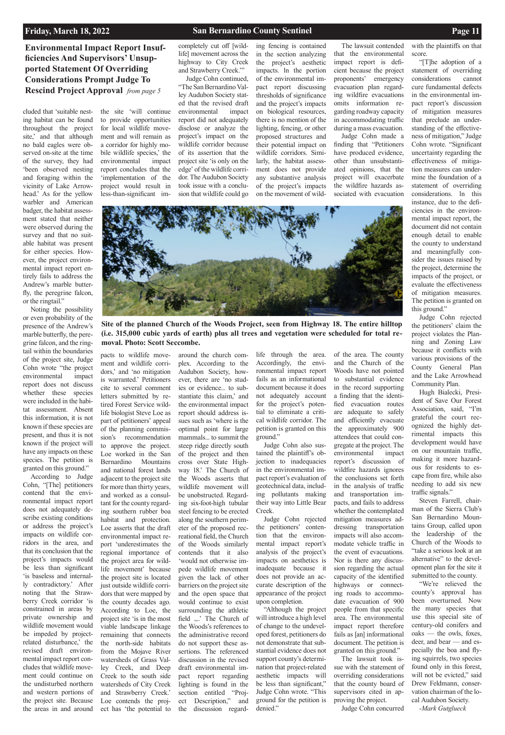cluded that 'suitable nesting habitat can be found throughout the project site,' and that although no bald eagles were observed on-site at the time of the survey, they had 'been observed nesting and foraging within the vicinity of Lake Arrowhead.' As for the yellow warbler and American badger, the habitat assessment stated that neither were observed during the survey and that no suitable habitat was present for either species. However, the project environmental impact report entirely fails to address the Andrew's marble butterfly, the peregrine falcon, or the ringtail."

Noting the possibility or even probability of the presence of the Andrew's marble butterfly, the peregrine falcon, and the ringtail within the boundaries of the project site, Judge Cohn wrote "the project environmental impact report does not discuss whether these species were included in the habitat assessment. Absent this information, it is not known if these species are present, and thus it is not known if the project will have any impacts on these species. The petition is granted on this ground."

According to Judge Cohn, "[The] petitioners contend that the environmental impact report does not adequately describe existing conditions or address the project's impacts on wildlife corridors in the area, and that its conclusion that the project's impacts would be less than significant 'is baseless and internally contradictory.' After noting that the Strawberry Creek corridor 'is constrained in areas by private ownership and wildlife movement would be impeded by projectrelated disturbance,' the revised draft environmental impact report concludes that wildlife movement could continue on the undisturbed northern and western portions of the project site. Because the areas in and around

the site 'will continue to provide opportunities for local wildlife movement and will remain as a corridor for highly mobile wildlife species,' the environmental impact report concludes that the 'implementation of the project would result in less-than-significant imcompletely cut off [wildlife] movement across the highway to City Creek and Strawberry Creek.'"

Judge Cohn continued, "The San Bernardino Valley Audubon Society stated that the revised draft environmental impact report did not adequately disclose or analyze the project's impact on the wildlife corridor because of its assertion that the project site 'is only on the edge' of the wildlife corridor. The Audubon Society took issue with a conclusion that wildlife could go ing fencing is contained in the section analyzing the project's aesthetic impacts. ln the portion of the environmental impact report discussing thresholds of significance and the project's impacts on biological resources, there is no mention of the lighting, fencing, or other proposed structures and their potential impact on wildlife corridors. Similarly, the habitat assessment does not provide any substantive analysis of the project's impacts on the movement of wild-

The lawsuit contended that the environmental impact report is deficient because the project proponents' emergency evacuation plan regarding wildfire evacuations omits information regarding roadway capacity in accommodating traffic during a mass evacuation.

Judge Cohn made a finding that "Petitioners have produced evidence, other than unsubstantiated opinions, that the project will exacerbate the wildfire hazards associated with evacuation

with the plaintiffs on that score.

"[T]he adoption of a statement of overriding considerations cannot cure fundamental defects in the environmental impact report's discussion of mitigation measures that preclude an understanding of the effectiveness of mitigation," Judge Cohn wrote. "Significant uncertainty regarding the effectiveness of mitigation measures can undermine the foundation of a statement of overriding considerations. ln this instance, due to the deficiencies in the environmental impact report, the document did not contain enough detail to enable the county to understand and meaningfully consider the issues raised by the project, determine the impacts of the project, or evaluate the effectiveness of mitigation measures. The petition is granted on this ground."

Judge Cohn rejected the petitioners' contention that the environmental impact report's analysis of the project's impacts on aesthetics is inadequate because it does not provide an accurate description of the appearance of the project upon completion. "Although the project will introduce a high level of change to the undeveloped forest, petitioners do not demonstrate that substantial evidence does not support county's determination that project-related aesthetic impacts will be less than significant," Judge Cohn wrote. "This ground for the petition is denied."

Judge Cohn rejected the petitioners' claim the project violates the Planning and Zoning Law because it conflicts with various provisions of the County General Plan and the Lake Arrowhead Community Plan.

Hugh Bialecki, President of Save Our Forest Association, said, "I'm grateful the court recognized the highly detrimental impacts this development would have on our mountain traffic, making it more hazardous for residents to escape from fire, while also needing to add six new traffic signals."

Steven Farrell, chairman of the Sierra Club's San Bernardino Mountains Group, called upon the leadership of the Church of the Woods to "take a serious look at an alternative" to the development plan for the site it

submitted to the county. "We're relieved the county's approval has been overturned. Now the many species that use this special site of century-old conifers and oaks — the owls, foxes, deer, and bear — and especially the boa and flying squirrels, two species found only in this forest, will not be evicted," said Drew Feldmann, conservation chairman of the local Audubon Society. *-Mark Gutglueck*

**Environmental Impact Report Insufficiencies And Supervisors' Unsupported Statement Of Overriding Considerations Prompt Judge To Rescind Project Approval** *from page 5*

> **Site of the planned Church of the Woods Project, seen from Highway 18. The entire hilltop (i.e. 315,000 cubic yards of earth) plus all trees and vegetation were scheduled for total removal. Photo: Scott Seccombe.**

pacts to wildlife movement and wildlife corridors,' and 'no mitigation is warranted.' Petitioners cite to several comment letters submitted by retired Forest Service wildlife biologist Steve Loe as part of petitioners' appeal of the planning commission's recommendation to approve the project. Loe worked in the San Bernardino Mountains and national forest lands adjacent to the project site for more than thirty years, and worked as a consultant for the county regarding southern rubber boa habitat and protection. Loe asserts that the draft environmental impact report 'underestimates the regional importance of the project area for wildlife movement' because the project site is located just outside wildlife corridors that were mapped by the county decades ago. According to Loe, the project site 'is in the most viable landscape linkage remaining that connects the north-side habitats from the Mojave River watersheds of Grass Valley Creek, and Deep Creek to the south side watersheds of City Creek and Strawberry Creek.' Loe contends the project has 'the potential to

around the church complex. According to the Audubon Society, however, there are 'no studies or evidence... to substantiate this claim,' and the environmental impact report should address issues such as 'where is the optimal point for large mammals... to summit the steep ridge directly south of the project and then cross over State Highway 18.' The Church of the Woods asserts that wildlife movement will be unobstructed. Regarding six-foot-high tubular steel fencing to be erected along the southern perimeter of the proposed recreational field, the Church of the Woods similarly contends that it also 'would not otherwise impede wildlife movement given the lack of other barriers on the project site and the open space that would continue to exist surrounding the athletic field .,..' The Church of the Woods's references to the administrative record do not support these assertions. The referenced discussion in the revised draft environmental impact report regarding lighting is found in the section entitled "Project Description," and the discussion regard-

life through the area. Accordingly, the environmental impact report fails as an informational document because it does not adequately account for the project's potential to eliminate a critical wildlife corridor. The petition is granted on this ground." Judge Cohn also sus-

tained the plaintiff's objection to inadequacies in the environmental impact report's evaluation of geotechnical data, including pollutants making their way into Little Bear Creek.

of the area. The county and the Church of the Woods have not pointed to substantial evidence in the record supporting a finding that the identified evacuation routes are adequate to safely and efficiently evacuate the approximately 900 attendees that could congregate at the project. The environmental impact report's discussion of wildfire hazards ignores the conclusions set forth in the analysis of traffic and transportation impacts, and fails to address whether the contemplated mitigation measures addressing transportation impacts will also accommodate vehicle traffic in the event of evacuations. Nor is there any discussion regarding the actual capacity of the identified highways or connecting roads to accommodate evacuation of 900 people from that specific area. The environmental impact report therefore fails as [an] informational document. The petition is granted on this ground." The lawsuit took issue with the statement of overriding considerations that the county board of supervisors cited in approving the project. Judge Cohn concurred